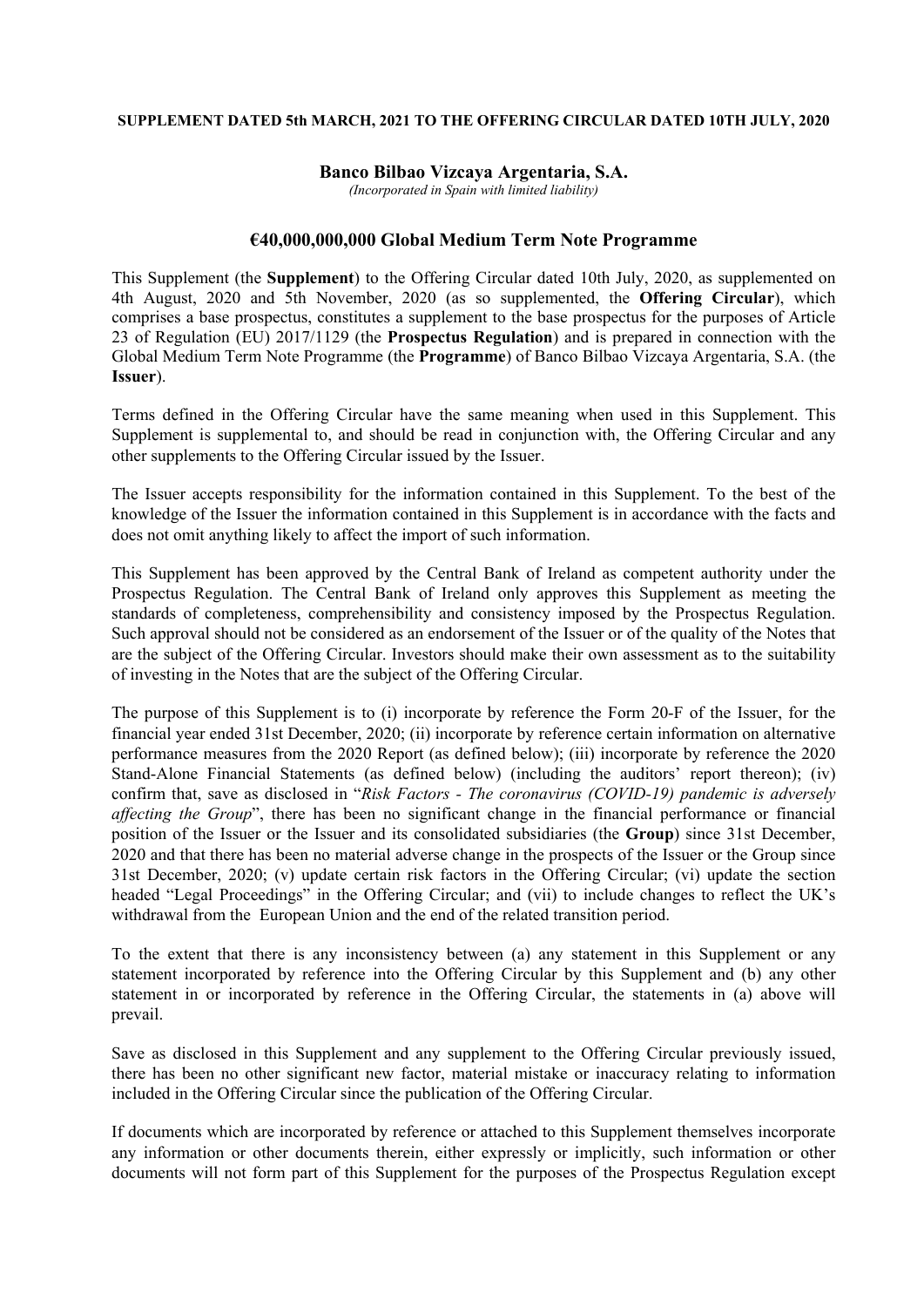#### **SUPPLEMENT DATED 5th MARCH, 2021 TO THE OFFERING CIRCULAR DATED 10TH JULY, 2020**

## **Banco Bilbao Vizcaya Argentaria, S.A.**

*(Incorporated in Spain with limited liability)*

# **€40,000,000,000 Global Medium Term Note Programme**

This Supplement (the **Supplement**) to the Offering Circular dated 10th July, 2020, as supplemented on 4th August, 2020 and 5th November, 2020 (as so supplemented, the **Offering Circular**), which comprises a base prospectus, constitutes a supplement to the base prospectus for the purposes of Article 23 of Regulation (EU) 2017/1129 (the **Prospectus Regulation**) and is prepared in connection with the Global Medium Term Note Programme (the **Programme**) of Banco Bilbao Vizcaya Argentaria, S.A. (the **Issuer**).

Terms defined in the Offering Circular have the same meaning when used in this Supplement. This Supplement is supplemental to, and should be read in conjunction with, the Offering Circular and any other supplements to the Offering Circular issued by the Issuer.

The Issuer accepts responsibility for the information contained in this Supplement. To the best of the knowledge of the Issuer the information contained in this Supplement is in accordance with the facts and does not omit anything likely to affect the import of such information.

This Supplement has been approved by the Central Bank of Ireland as competent authority under the Prospectus Regulation. The Central Bank of Ireland only approves this Supplement as meeting the standards of completeness, comprehensibility and consistency imposed by the Prospectus Regulation. Such approval should not be considered as an endorsement of the Issuer or of the quality of the Notes that are the subject of the Offering Circular. Investors should make their own assessment as to the suitability of investing in the Notes that are the subject of the Offering Circular.

The purpose of this Supplement is to (i) incorporate by reference the Form 20-F of the Issuer, for the financial year ended 31st December, 2020; (ii) incorporate by reference certain information on alternative performance measures from the 2020 Report (as defined below); (iii) incorporate by reference the 2020 Stand-Alone Financial Statements (as defined below) (including the auditors' report thereon); (iv) confirm that, save as disclosed in "*Risk Factors - The coronavirus (COVID-19) pandemic is adversely affecting the Group*", there has been no significant change in the financial performance or financial position of the Issuer or the Issuer and its consolidated subsidiaries (the **Group**) since 31st December, 2020 and that there has been no material adverse change in the prospects of the Issuer or the Group since 31st December, 2020; (v) update certain risk factors in the Offering Circular; (vi) update the section headed "Legal Proceedings" in the Offering Circular; and (vii) to include changes to reflect the UK's withdrawal from the European Union and the end of the related transition period.

To the extent that there is any inconsistency between (a) any statement in this Supplement or any statement incorporated by reference into the Offering Circular by this Supplement and (b) any other statement in or incorporated by reference in the Offering Circular, the statements in (a) above will prevail.

Save as disclosed in this Supplement and any supplement to the Offering Circular previously issued, there has been no other significant new factor, material mistake or inaccuracy relating to information included in the Offering Circular since the publication of the Offering Circular.

If documents which are incorporated by reference or attached to this Supplement themselves incorporate any information or other documents therein, either expressly or implicitly, such information or other documents will not form part of this Supplement for the purposes of the Prospectus Regulation except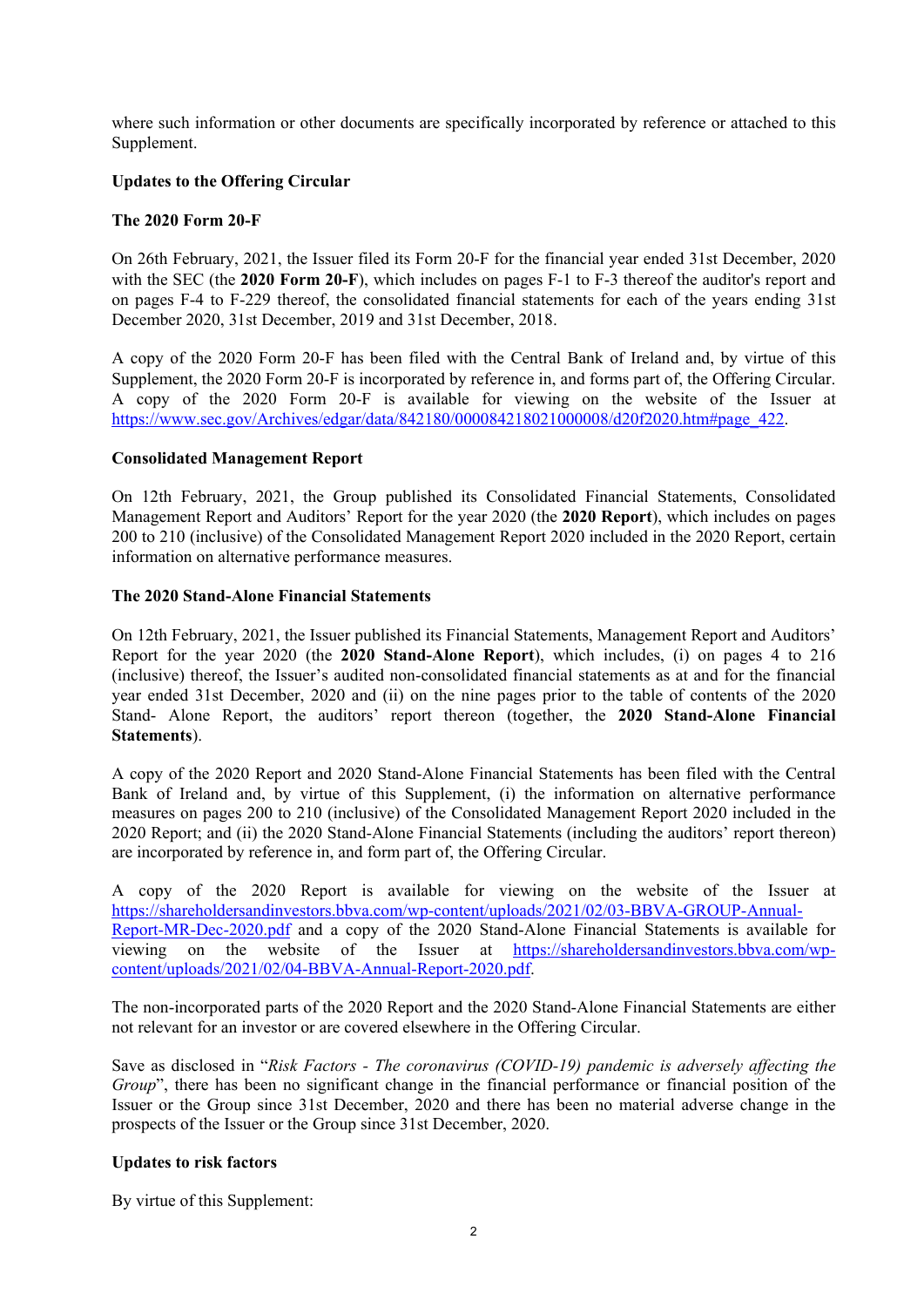where such information or other documents are specifically incorporated by reference or attached to this Supplement.

# **Updates to the Offering Circular**

# **The 2020 Form 20-F**

On 26th February, 2021, the Issuer filed its Form 20-F for the financial year ended 31st December, 2020 with the SEC (the **2020 Form 20-F**), which includes on pages F-1 to F-3 thereof the auditor's report and on pages F-4 to F-229 thereof, the consolidated financial statements for each of the years ending 31st December 2020, 31st December, 2019 and 31st December, 2018.

A copy of the 2020 Form 20-F has been filed with the Central Bank of Ireland and, by virtue of this Supplement, the 2020 Form 20-F is incorporated by reference in, and forms part of, the Offering Circular. A copy of the 2020 Form 20-F is available for viewing on the website of the Issuer at [https://www.sec.gov/Archives/edgar/data/842180/000084218021000008/d20f2020.htm#page\\_422.](https://www.sec.gov/Archives/edgar/data/842180/000084218021000008/d20f2020.htm#page_422)

## **Consolidated Management Report**

On 12th February, 2021, the Group published its Consolidated Financial Statements, Consolidated Management Report and Auditors' Report for the year 2020 (the **2020 Report**), which includes on pages 200 to 210 (inclusive) of the Consolidated Management Report 2020 included in the 2020 Report, certain information on alternative performance measures.

## **The 2020 Stand-Alone Financial Statements**

On 12th February, 2021, the Issuer published its Financial Statements, Management Report and Auditors' Report for the year 2020 (the **2020 Stand-Alone Report**), which includes, (i) on pages 4 to 216 (inclusive) thereof, the Issuer's audited non-consolidated financial statements as at and for the financial year ended 31st December, 2020 and (ii) on the nine pages prior to the table of contents of the 2020 Stand- Alone Report, the auditors' report thereon (together, the **2020 Stand-Alone Financial Statements**).

A copy of the 2020 Report and 2020 Stand-Alone Financial Statements has been filed with the Central Bank of Ireland and, by virtue of this Supplement, (i) the information on alternative performance measures on pages 200 to 210 (inclusive) of the Consolidated Management Report 2020 included in the 2020 Report; and (ii) the 2020 Stand-Alone Financial Statements (including the auditors' report thereon) are incorporated by reference in, and form part of, the Offering Circular.

A copy of the 2020 Report is available for viewing on the website of the Issuer at [https://shareholdersandinvestors.bbva.com/wp-content/uploads/2021/02/03-BBVA-GROUP-Annual-](https://shareholdersandinvestors.bbva.com/wp-content/uploads/2021/02/03-BBVA-GROUP-Annual-Report-MR-Dec-2020.pdf)[Report-MR-Dec-2020.pdf](https://shareholdersandinvestors.bbva.com/wp-content/uploads/2021/02/03-BBVA-GROUP-Annual-Report-MR-Dec-2020.pdf) and a copy of the 2020 Stand-Alone Financial Statements is available for viewing on the website of the Issuer at [https://shareholdersandinvestors.bbva.com/wp](https://shareholdersandinvestors.bbva.com/wp-content/uploads/2021/02/04-BBVA-Annual-Report-2020.pdf)[content/uploads/2021/02/04-BBVA-Annual-Report-2020.pdf.](https://shareholdersandinvestors.bbva.com/wp-content/uploads/2021/02/04-BBVA-Annual-Report-2020.pdf)

The non-incorporated parts of the 2020 Report and the 2020 Stand-Alone Financial Statements are either not relevant for an investor or are covered elsewhere in the Offering Circular.

Save as disclosed in "*Risk Factors - The coronavirus (COVID-19) pandemic is adversely affecting the Group*", there has been no significant change in the financial performance or financial position of the Issuer or the Group since 31st December, 2020 and there has been no material adverse change in the prospects of the Issuer or the Group since 31st December, 2020.

# **Updates to risk factors**

By virtue of this Supplement: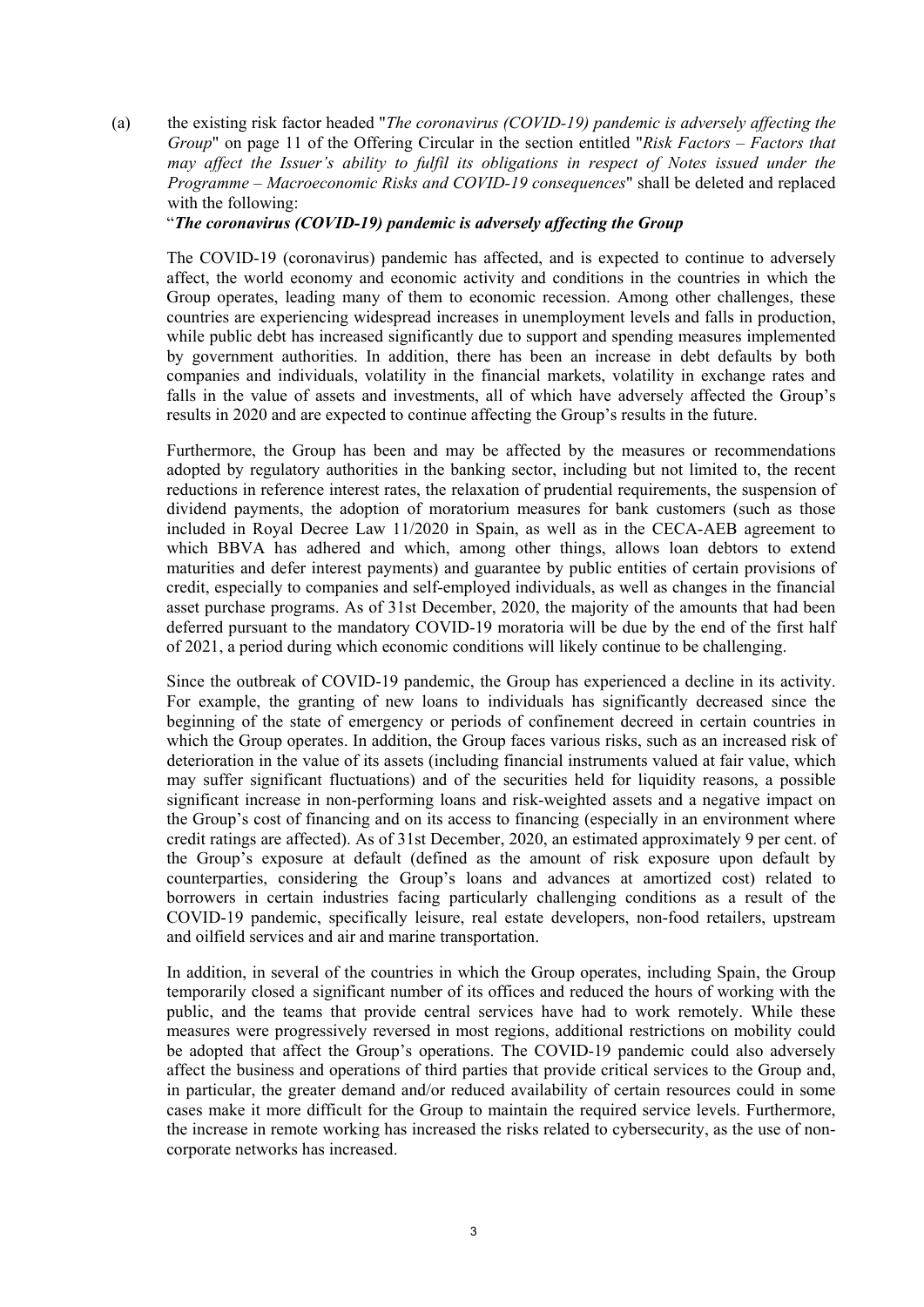(a) the existing risk factor headed "*The coronavirus (COVID-19) pandemic is adversely affecting the Group*" on page 11 of the Offering Circular in the section entitled "*Risk Factors – Factors that may affect the Issuer's ability to fulfil its obligations in respect of Notes issued under the Programme – Macroeconomic Risks and COVID-19 consequences*" shall be deleted and replaced with the following:

"*The coronavirus (COVID-19) pandemic is adversely affecting the Group*

The COVID-19 (coronavirus) pandemic has affected, and is expected to continue to adversely affect, the world economy and economic activity and conditions in the countries in which the Group operates, leading many of them to economic recession. Among other challenges, these countries are experiencing widespread increases in unemployment levels and falls in production, while public debt has increased significantly due to support and spending measures implemented by government authorities. In addition, there has been an increase in debt defaults by both companies and individuals, volatility in the financial markets, volatility in exchange rates and falls in the value of assets and investments, all of which have adversely affected the Group's results in 2020 and are expected to continue affecting the Group's results in the future.

Furthermore, the Group has been and may be affected by the measures or recommendations adopted by regulatory authorities in the banking sector, including but not limited to, the recent reductions in reference interest rates, the relaxation of prudential requirements, the suspension of dividend payments, the adoption of moratorium measures for bank customers (such as those included in Royal Decree Law 11/2020 in Spain, as well as in the CECA-AEB agreement to which BBVA has adhered and which, among other things, allows loan debtors to extend maturities and defer interest payments) and guarantee by public entities of certain provisions of credit, especially to companies and self-employed individuals, as well as changes in the financial asset purchase programs. As of 31st December, 2020, the majority of the amounts that had been deferred pursuant to the mandatory COVID-19 moratoria will be due by the end of the first half of 2021, a period during which economic conditions will likely continue to be challenging.

Since the outbreak of COVID-19 pandemic, the Group has experienced a decline in its activity. For example, the granting of new loans to individuals has significantly decreased since the beginning of the state of emergency or periods of confinement decreed in certain countries in which the Group operates. In addition, the Group faces various risks, such as an increased risk of deterioration in the value of its assets (including financial instruments valued at fair value, which may suffer significant fluctuations) and of the securities held for liquidity reasons, a possible significant increase in non-performing loans and risk-weighted assets and a negative impact on the Group's cost of financing and on its access to financing (especially in an environment where credit ratings are affected). As of 31st December, 2020, an estimated approximately 9 per cent. of the Group's exposure at default (defined as the amount of risk exposure upon default by counterparties, considering the Group's loans and advances at amortized cost) related to borrowers in certain industries facing particularly challenging conditions as a result of the COVID-19 pandemic, specifically leisure, real estate developers, non-food retailers, upstream and oilfield services and air and marine transportation.

In addition, in several of the countries in which the Group operates, including Spain, the Group temporarily closed a significant number of its offices and reduced the hours of working with the public, and the teams that provide central services have had to work remotely. While these measures were progressively reversed in most regions, additional restrictions on mobility could be adopted that affect the Group's operations. The COVID-19 pandemic could also adversely affect the business and operations of third parties that provide critical services to the Group and, in particular, the greater demand and/or reduced availability of certain resources could in some cases make it more difficult for the Group to maintain the required service levels. Furthermore, the increase in remote working has increased the risks related to cybersecurity, as the use of noncorporate networks has increased.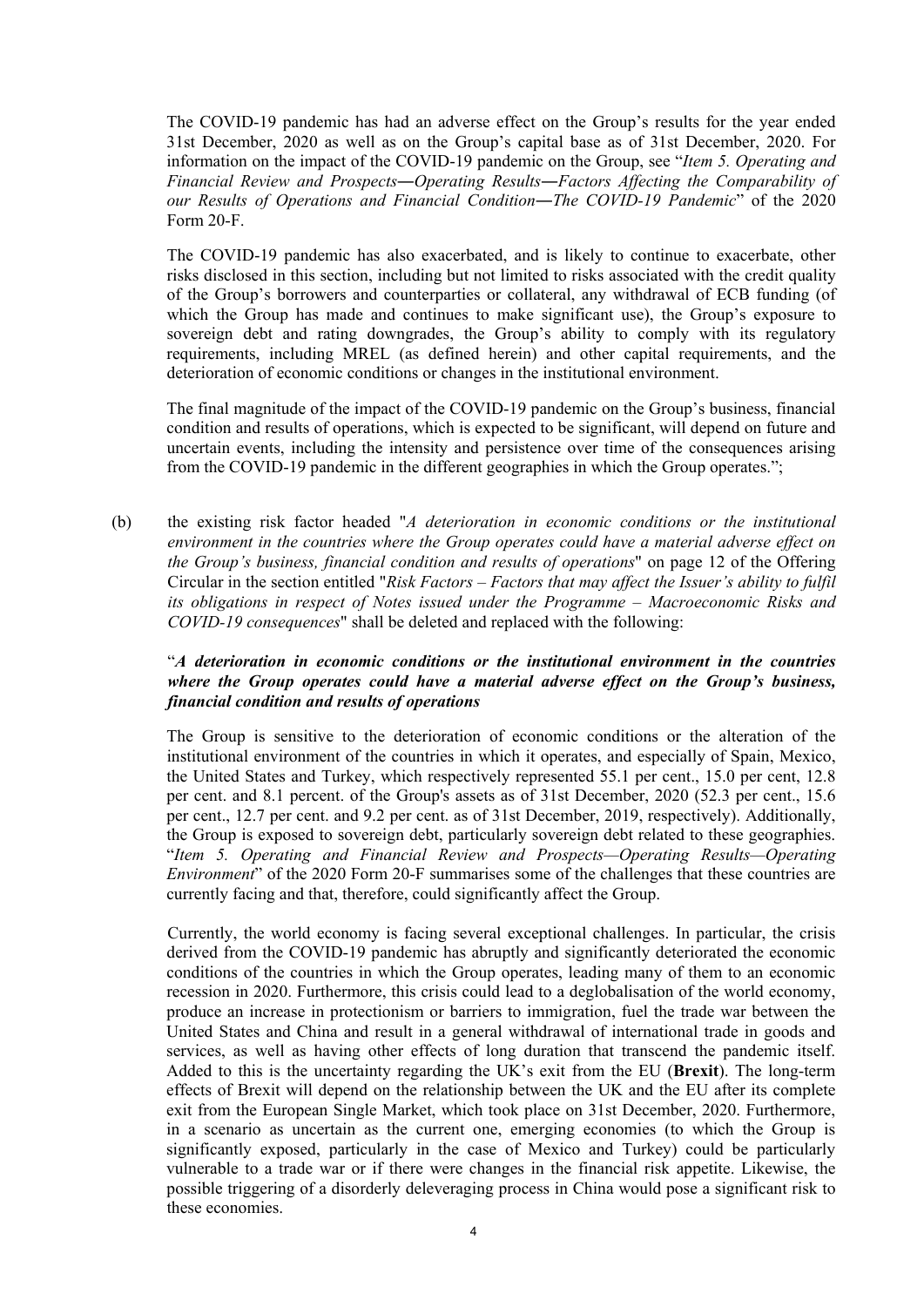The COVID-19 pandemic has had an adverse effect on the Group's results for the year ended 31st December, 2020 as well as on the Group's capital base as of 31st December, 2020. For information on the impact of the COVID-19 pandemic on the Group, see "*Item 5. Operating and Financial Review and Prospects―Operating Results―Factors Affecting the Comparability of our Results of Operations and Financial Condition―The COVID-19 Pandemic*" of the 2020 Form 20-F.

The COVID-19 pandemic has also exacerbated, and is likely to continue to exacerbate, other risks disclosed in this section, including but not limited to risks associated with the credit quality of the Group's borrowers and counterparties or collateral, any withdrawal of ECB funding (of which the Group has made and continues to make significant use), the Group's exposure to sovereign debt and rating downgrades, the Group's ability to comply with its regulatory requirements, including MREL (as defined herein) and other capital requirements, and the deterioration of economic conditions or changes in the institutional environment.

The final magnitude of the impact of the COVID-19 pandemic on the Group's business, financial condition and results of operations, which is expected to be significant, will depend on future and uncertain events, including the intensity and persistence over time of the consequences arising from the COVID-19 pandemic in the different geographies in which the Group operates.";

(b) the existing risk factor headed "*A deterioration in economic conditions or the institutional environment in the countries where the Group operates could have a material adverse effect on the Group's business, financial condition and results of operations*" on page 12 of the Offering Circular in the section entitled "*Risk Factors – Factors that may affect the Issuer's ability to fulfil its obligations in respect of Notes issued under the Programme – Macroeconomic Risks and COVID-19 consequences*" shall be deleted and replaced with the following:

# "*A deterioration in economic conditions or the institutional environment in the countries where the Group operates could have a material adverse effect on the Group's business, financial condition and results of operations*

The Group is sensitive to the deterioration of economic conditions or the alteration of the institutional environment of the countries in which it operates, and especially of Spain, Mexico, the United States and Turkey, which respectively represented 55.1 per cent., 15.0 per cent, 12.8 per cent. and 8.1 percent. of the Group's assets as of 31st December, 2020 (52.3 per cent., 15.6 per cent., 12.7 per cent. and 9.2 per cent. as of 31st December, 2019, respectively). Additionally, the Group is exposed to sovereign debt, particularly sovereign debt related to these geographies. "*Item 5. Operating and Financial Review and Prospects—Operating Results—Operating Environment*" of the 2020 Form 20-F summarises some of the challenges that these countries are currently facing and that, therefore, could significantly affect the Group.

Currently, the world economy is facing several exceptional challenges. In particular, the crisis derived from the COVID-19 pandemic has abruptly and significantly deteriorated the economic conditions of the countries in which the Group operates, leading many of them to an economic recession in 2020. Furthermore, this crisis could lead to a deglobalisation of the world economy, produce an increase in protectionism or barriers to immigration, fuel the trade war between the United States and China and result in a general withdrawal of international trade in goods and services, as well as having other effects of long duration that transcend the pandemic itself. Added to this is the uncertainty regarding the UK's exit from the EU (**Brexit**). The long-term effects of Brexit will depend on the relationship between the UK and the EU after its complete exit from the European Single Market, which took place on 31st December, 2020. Furthermore, in a scenario as uncertain as the current one, emerging economies (to which the Group is significantly exposed, particularly in the case of Mexico and Turkey) could be particularly vulnerable to a trade war or if there were changes in the financial risk appetite. Likewise, the possible triggering of a disorderly deleveraging process in China would pose a significant risk to these economies.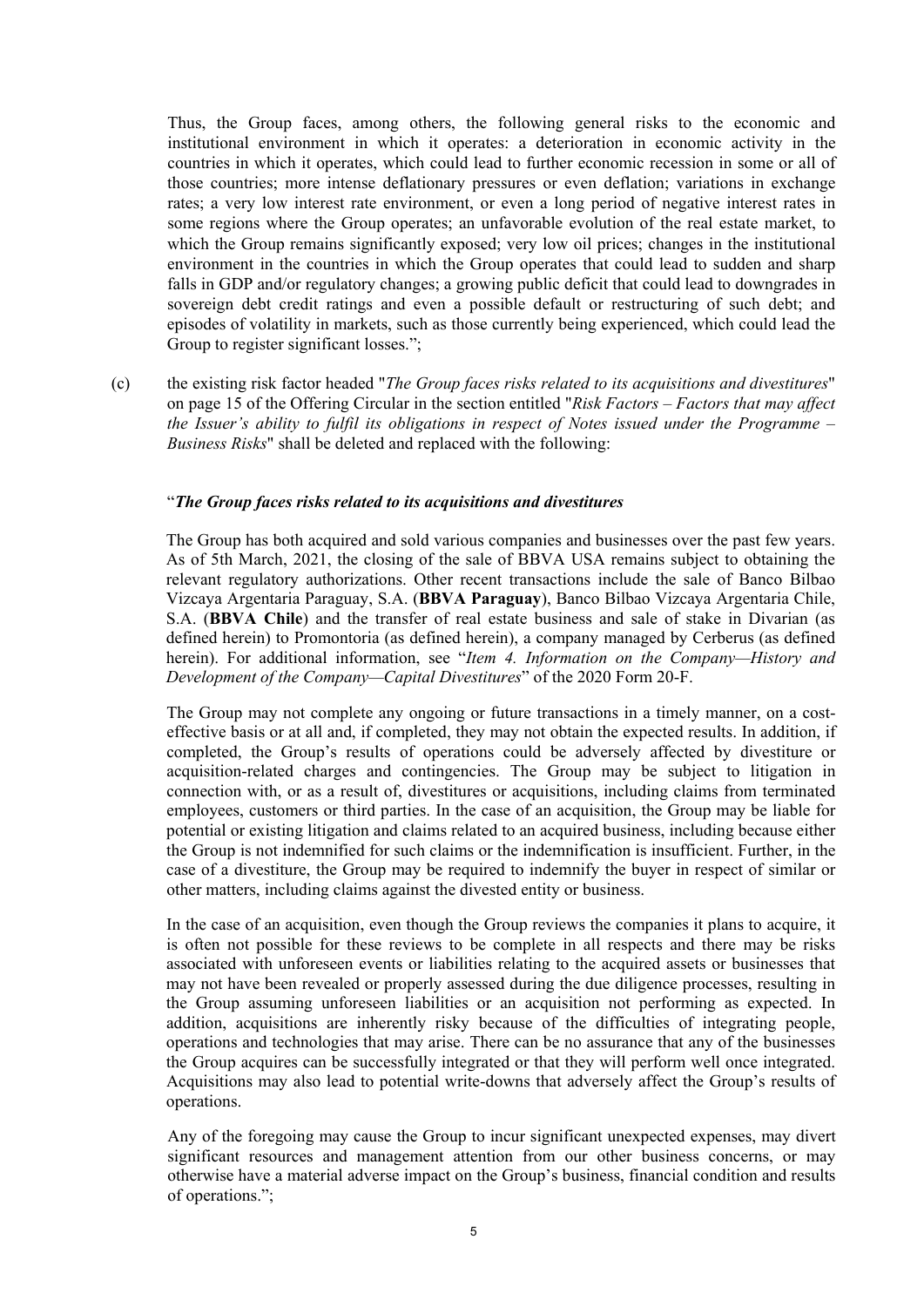Thus, the Group faces, among others, the following general risks to the economic and institutional environment in which it operates: a deterioration in economic activity in the countries in which it operates, which could lead to further economic recession in some or all of those countries; more intense deflationary pressures or even deflation; variations in exchange rates; a very low interest rate environment, or even a long period of negative interest rates in some regions where the Group operates; an unfavorable evolution of the real estate market, to which the Group remains significantly exposed; very low oil prices; changes in the institutional environment in the countries in which the Group operates that could lead to sudden and sharp falls in GDP and/or regulatory changes; a growing public deficit that could lead to downgrades in sovereign debt credit ratings and even a possible default or restructuring of such debt; and episodes of volatility in markets, such as those currently being experienced, which could lead the Group to register significant losses.";

(c) the existing risk factor headed "*The Group faces risks related to its acquisitions and divestitures*" on page 15 of the Offering Circular in the section entitled "*Risk Factors – Factors that may affect the Issuer's ability to fulfil its obligations in respect of Notes issued under the Programme – Business Risks*" shall be deleted and replaced with the following:

#### "*The Group faces risks related to its acquisitions and divestitures*

The Group has both acquired and sold various companies and businesses over the past few years. As of 5th March, 2021, the closing of the sale of BBVA USA remains subject to obtaining the relevant regulatory authorizations. Other recent transactions include the sale of Banco Bilbao Vizcaya Argentaria Paraguay, S.A. (**BBVA Paraguay**), Banco Bilbao Vizcaya Argentaria Chile, S.A. (**BBVA Chile**) and the transfer of real estate business and sale of stake in Divarian (as defined herein) to Promontoria (as defined herein), a company managed by Cerberus (as defined herein). For additional information, see "*Item 4. Information on the Company—History and Development of the Company—Capital Divestitures*" of the 2020 Form 20-F.

The Group may not complete any ongoing or future transactions in a timely manner, on a costeffective basis or at all and, if completed, they may not obtain the expected results. In addition, if completed, the Group's results of operations could be adversely affected by divestiture or acquisition-related charges and contingencies. The Group may be subject to litigation in connection with, or as a result of, divestitures or acquisitions, including claims from terminated employees, customers or third parties. In the case of an acquisition, the Group may be liable for potential or existing litigation and claims related to an acquired business, including because either the Group is not indemnified for such claims or the indemnification is insufficient. Further, in the case of a divestiture, the Group may be required to indemnify the buyer in respect of similar or other matters, including claims against the divested entity or business.

In the case of an acquisition, even though the Group reviews the companies it plans to acquire, it is often not possible for these reviews to be complete in all respects and there may be risks associated with unforeseen events or liabilities relating to the acquired assets or businesses that may not have been revealed or properly assessed during the due diligence processes, resulting in the Group assuming unforeseen liabilities or an acquisition not performing as expected. In addition, acquisitions are inherently risky because of the difficulties of integrating people, operations and technologies that may arise. There can be no assurance that any of the businesses the Group acquires can be successfully integrated or that they will perform well once integrated. Acquisitions may also lead to potential write-downs that adversely affect the Group's results of operations.

Any of the foregoing may cause the Group to incur significant unexpected expenses, may divert significant resources and management attention from our other business concerns, or may otherwise have a material adverse impact on the Group's business, financial condition and results of operations.";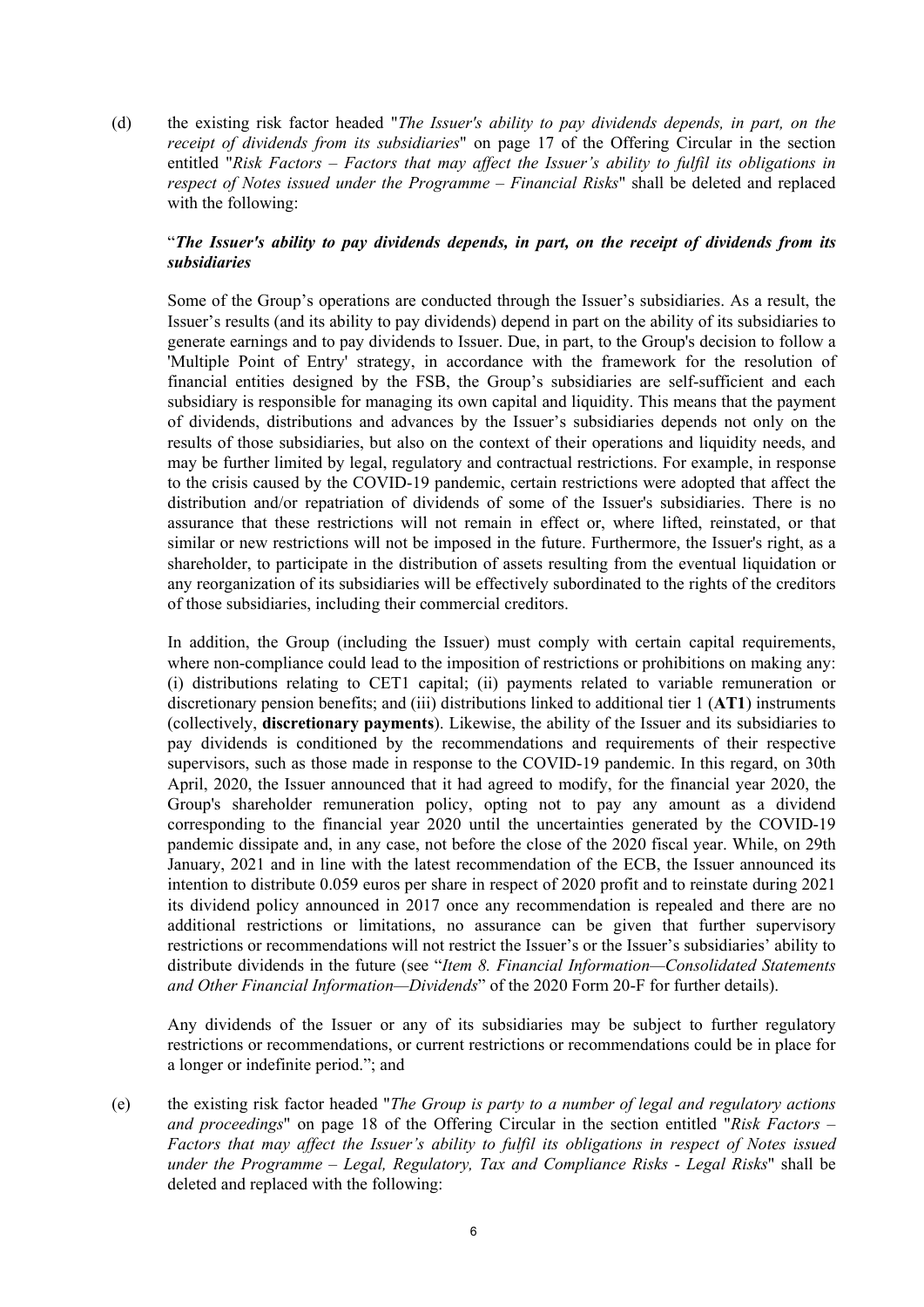(d) the existing risk factor headed "*The Issuer's ability to pay dividends depends, in part, on the receipt of dividends from its subsidiaries*" on page 17 of the Offering Circular in the section entitled "*Risk Factors – Factors that may affect the Issuer's ability to fulfil its obligations in respect of Notes issued under the Programme – Financial Risks*" shall be deleted and replaced with the following:

# "*The Issuer's ability to pay dividends depends, in part, on the receipt of dividends from its subsidiaries*

Some of the Group's operations are conducted through the Issuer's subsidiaries. As a result, the Issuer's results (and its ability to pay dividends) depend in part on the ability of its subsidiaries to generate earnings and to pay dividends to Issuer. Due, in part, to the Group's decision to follow a 'Multiple Point of Entry' strategy, in accordance with the framework for the resolution of financial entities designed by the FSB, the Group's subsidiaries are self-sufficient and each subsidiary is responsible for managing its own capital and liquidity. This means that the payment of dividends, distributions and advances by the Issuer's subsidiaries depends not only on the results of those subsidiaries, but also on the context of their operations and liquidity needs, and may be further limited by legal, regulatory and contractual restrictions. For example, in response to the crisis caused by the COVID-19 pandemic, certain restrictions were adopted that affect the distribution and/or repatriation of dividends of some of the Issuer's subsidiaries. There is no assurance that these restrictions will not remain in effect or, where lifted, reinstated, or that similar or new restrictions will not be imposed in the future. Furthermore, the Issuer's right, as a shareholder, to participate in the distribution of assets resulting from the eventual liquidation or any reorganization of its subsidiaries will be effectively subordinated to the rights of the creditors of those subsidiaries, including their commercial creditors.

In addition, the Group (including the Issuer) must comply with certain capital requirements, where non-compliance could lead to the imposition of restrictions or prohibitions on making any: (i) distributions relating to CET1 capital; (ii) payments related to variable remuneration or discretionary pension benefits; and (iii) distributions linked to additional tier 1 (**AT1**) instruments (collectively, **discretionary payments**). Likewise, the ability of the Issuer and its subsidiaries to pay dividends is conditioned by the recommendations and requirements of their respective supervisors, such as those made in response to the COVID-19 pandemic. In this regard, on 30th April, 2020, the Issuer announced that it had agreed to modify, for the financial year 2020, the Group's shareholder remuneration policy, opting not to pay any amount as a dividend corresponding to the financial year 2020 until the uncertainties generated by the COVID-19 pandemic dissipate and, in any case, not before the close of the 2020 fiscal year. While, on 29th January, 2021 and in line with the latest recommendation of the ECB, the Issuer announced its intention to distribute 0.059 euros per share in respect of 2020 profit and to reinstate during 2021 its dividend policy announced in 2017 once any recommendation is repealed and there are no additional restrictions or limitations, no assurance can be given that further supervisory restrictions or recommendations will not restrict the Issuer's or the Issuer's subsidiaries' ability to distribute dividends in the future (see "*Item 8. Financial Information—Consolidated Statements and Other Financial Information—Dividends*" of the 2020 Form 20-F for further details).

Any dividends of the Issuer or any of its subsidiaries may be subject to further regulatory restrictions or recommendations, or current restrictions or recommendations could be in place for a longer or indefinite period."; and

(e) the existing risk factor headed "*The Group is party to a number of legal and regulatory actions and proceedings*" on page 18 of the Offering Circular in the section entitled "*Risk Factors – Factors that may affect the Issuer's ability to fulfil its obligations in respect of Notes issued under the Programme – Legal, Regulatory, Tax and Compliance Risks - Legal Risks*" shall be deleted and replaced with the following: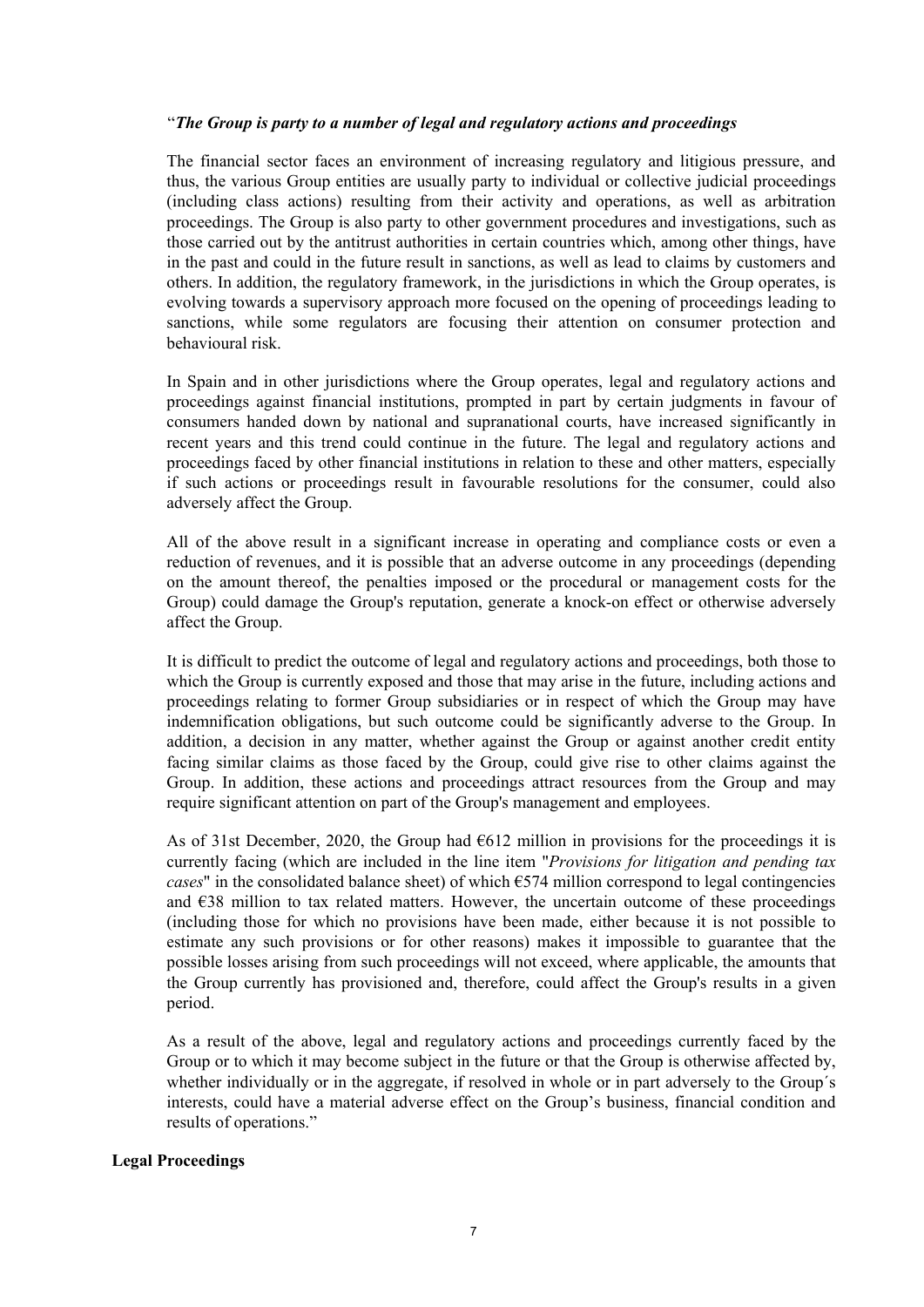### "*The Group is party to a number of legal and regulatory actions and proceedings*

The financial sector faces an environment of increasing regulatory and litigious pressure, and thus, the various Group entities are usually party to individual or collective judicial proceedings (including class actions) resulting from their activity and operations, as well as arbitration proceedings. The Group is also party to other government procedures and investigations, such as those carried out by the antitrust authorities in certain countries which, among other things, have in the past and could in the future result in sanctions, as well as lead to claims by customers and others. In addition, the regulatory framework, in the jurisdictions in which the Group operates, is evolving towards a supervisory approach more focused on the opening of proceedings leading to sanctions, while some regulators are focusing their attention on consumer protection and behavioural risk.

In Spain and in other jurisdictions where the Group operates, legal and regulatory actions and proceedings against financial institutions, prompted in part by certain judgments in favour of consumers handed down by national and supranational courts, have increased significantly in recent years and this trend could continue in the future. The legal and regulatory actions and proceedings faced by other financial institutions in relation to these and other matters, especially if such actions or proceedings result in favourable resolutions for the consumer, could also adversely affect the Group.

All of the above result in a significant increase in operating and compliance costs or even a reduction of revenues, and it is possible that an adverse outcome in any proceedings (depending on the amount thereof, the penalties imposed or the procedural or management costs for the Group) could damage the Group's reputation, generate a knock-on effect or otherwise adversely affect the Group.

It is difficult to predict the outcome of legal and regulatory actions and proceedings, both those to which the Group is currently exposed and those that may arise in the future, including actions and proceedings relating to former Group subsidiaries or in respect of which the Group may have indemnification obligations, but such outcome could be significantly adverse to the Group. In addition, a decision in any matter, whether against the Group or against another credit entity facing similar claims as those faced by the Group, could give rise to other claims against the Group. In addition, these actions and proceedings attract resources from the Group and may require significant attention on part of the Group's management and employees.

As of 31st December, 2020, the Group had  $6612$  million in provisions for the proceedings it is currently facing (which are included in the line item "*Provisions for litigation and pending tax cases*" in the consolidated balance sheet) of which €574 million correspond to legal contingencies and  $E38$  million to tax related matters. However, the uncertain outcome of these proceedings (including those for which no provisions have been made, either because it is not possible to estimate any such provisions or for other reasons) makes it impossible to guarantee that the possible losses arising from such proceedings will not exceed, where applicable, the amounts that the Group currently has provisioned and, therefore, could affect the Group's results in a given period.

As a result of the above, legal and regulatory actions and proceedings currently faced by the Group or to which it may become subject in the future or that the Group is otherwise affected by, whether individually or in the aggregate, if resolved in whole or in part adversely to the Group's interests, could have a material adverse effect on the Group's business, financial condition and results of operations."

#### **Legal Proceedings**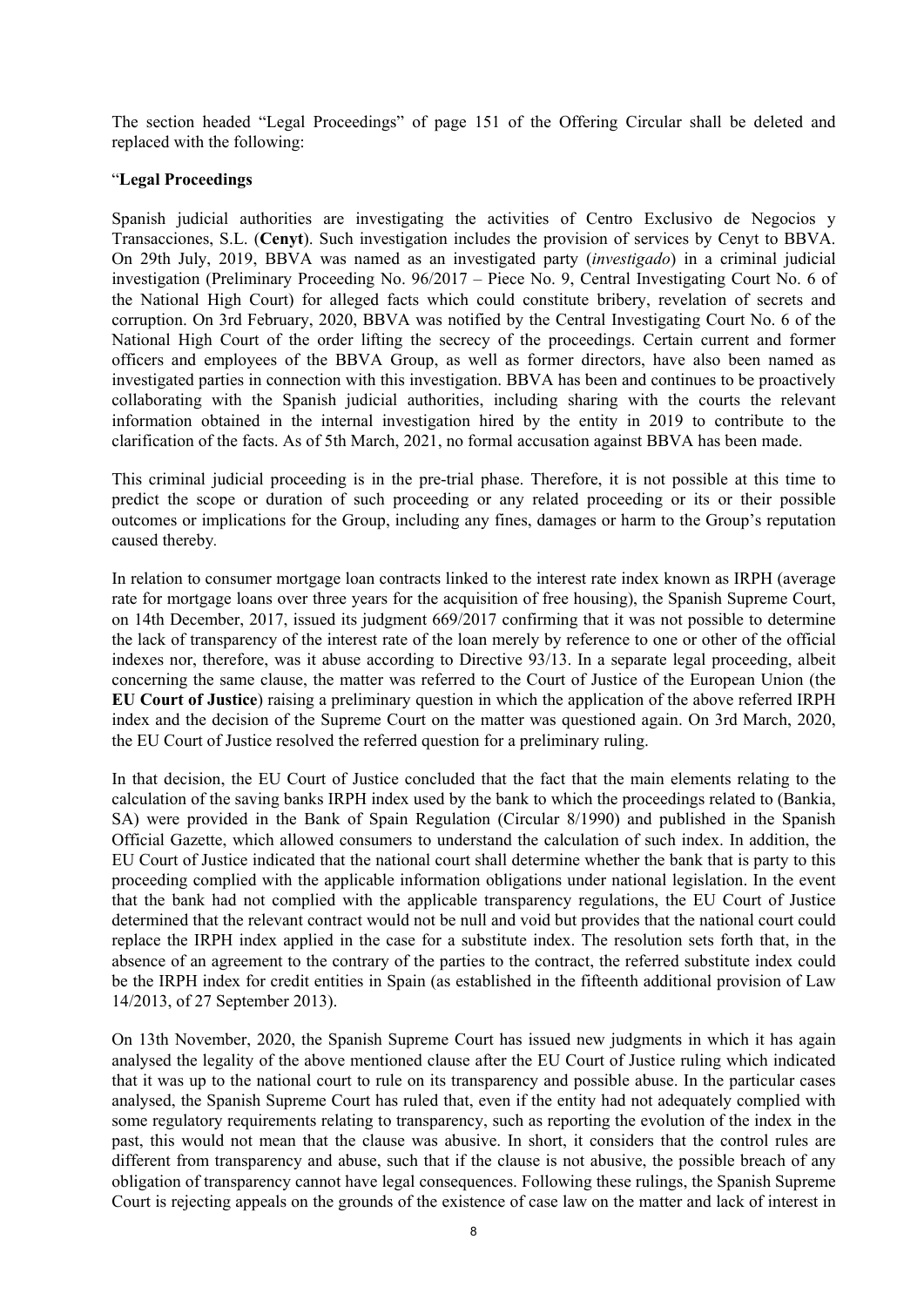The section headed "Legal Proceedings" of page 151 of the Offering Circular shall be deleted and replaced with the following:

# "**Legal Proceedings**

Spanish judicial authorities are investigating the activities of Centro Exclusivo de Negocios y Transacciones, S.L. (**Cenyt**). Such investigation includes the provision of services by Cenyt to BBVA. On 29th July, 2019, BBVA was named as an investigated party (*investigado*) in a criminal judicial investigation (Preliminary Proceeding No. 96/2017 – Piece No. 9, Central Investigating Court No. 6 of the National High Court) for alleged facts which could constitute bribery, revelation of secrets and corruption. On 3rd February, 2020, BBVA was notified by the Central Investigating Court No. 6 of the National High Court of the order lifting the secrecy of the proceedings. Certain current and former officers and employees of the BBVA Group, as well as former directors, have also been named as investigated parties in connection with this investigation. BBVA has been and continues to be proactively collaborating with the Spanish judicial authorities, including sharing with the courts the relevant information obtained in the internal investigation hired by the entity in 2019 to contribute to the clarification of the facts. As of 5th March, 2021, no formal accusation against BBVA has been made.

This criminal judicial proceeding is in the pre-trial phase. Therefore, it is not possible at this time to predict the scope or duration of such proceeding or any related proceeding or its or their possible outcomes or implications for the Group, including any fines, damages or harm to the Group's reputation caused thereby*.*

In relation to consumer mortgage loan contracts linked to the interest rate index known as IRPH (average rate for mortgage loans over three years for the acquisition of free housing), the Spanish Supreme Court, on 14th December, 2017, issued its judgment 669/2017 confirming that it was not possible to determine the lack of transparency of the interest rate of the loan merely by reference to one or other of the official indexes nor, therefore, was it abuse according to Directive 93/13. In a separate legal proceeding, albeit concerning the same clause, the matter was referred to the Court of Justice of the European Union (the **EU Court of Justice**) raising a preliminary question in which the application of the above referred IRPH index and the decision of the Supreme Court on the matter was questioned again. On 3rd March, 2020, the EU Court of Justice resolved the referred question for a preliminary ruling.

In that decision, the EU Court of Justice concluded that the fact that the main elements relating to the calculation of the saving banks IRPH index used by the bank to which the proceedings related to (Bankia, SA) were provided in the Bank of Spain Regulation (Circular 8/1990) and published in the Spanish Official Gazette, which allowed consumers to understand the calculation of such index. In addition, the EU Court of Justice indicated that the national court shall determine whether the bank that is party to this proceeding complied with the applicable information obligations under national legislation. In the event that the bank had not complied with the applicable transparency regulations, the EU Court of Justice determined that the relevant contract would not be null and void but provides that the national court could replace the IRPH index applied in the case for a substitute index. The resolution sets forth that, in the absence of an agreement to the contrary of the parties to the contract, the referred substitute index could be the IRPH index for credit entities in Spain (as established in the fifteenth additional provision of Law 14/2013, of 27 September 2013).

On 13th November, 2020, the Spanish Supreme Court has issued new judgments in which it has again analysed the legality of the above mentioned clause after the EU Court of Justice ruling which indicated that it was up to the national court to rule on its transparency and possible abuse. In the particular cases analysed, the Spanish Supreme Court has ruled that, even if the entity had not adequately complied with some regulatory requirements relating to transparency, such as reporting the evolution of the index in the past, this would not mean that the clause was abusive. In short, it considers that the control rules are different from transparency and abuse, such that if the clause is not abusive, the possible breach of any obligation of transparency cannot have legal consequences. Following these rulings, the Spanish Supreme Court is rejecting appeals on the grounds of the existence of case law on the matter and lack of interest in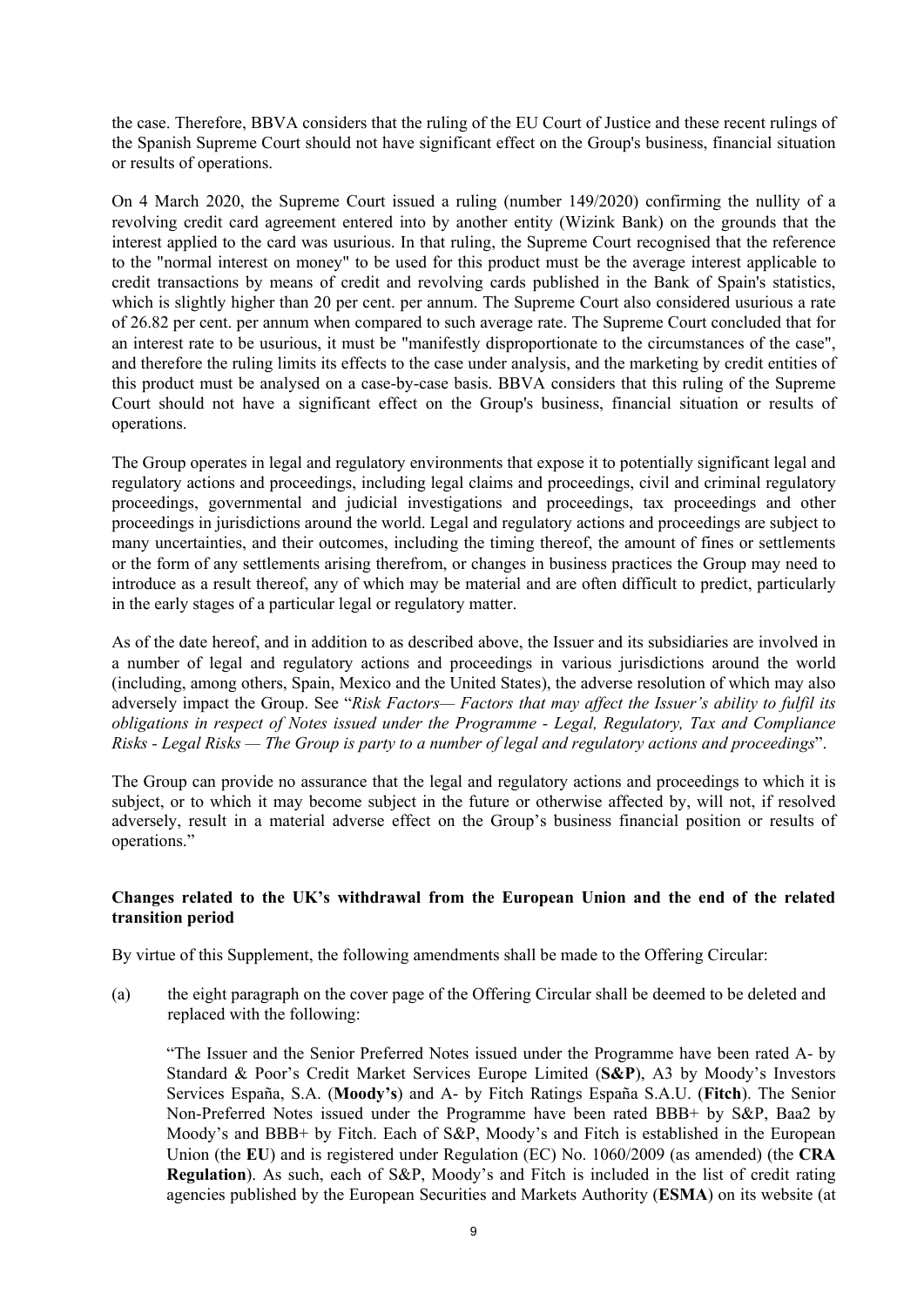the case. Therefore, BBVA considers that the ruling of the EU Court of Justice and these recent rulings of the Spanish Supreme Court should not have significant effect on the Group's business, financial situation or results of operations.

On 4 March 2020, the Supreme Court issued a ruling (number 149/2020) confirming the nullity of a revolving credit card agreement entered into by another entity (Wizink Bank) on the grounds that the interest applied to the card was usurious. In that ruling, the Supreme Court recognised that the reference to the "normal interest on money" to be used for this product must be the average interest applicable to credit transactions by means of credit and revolving cards published in the Bank of Spain's statistics, which is slightly higher than 20 per cent. per annum. The Supreme Court also considered usurious a rate of 26.82 per cent. per annum when compared to such average rate. The Supreme Court concluded that for an interest rate to be usurious, it must be "manifestly disproportionate to the circumstances of the case", and therefore the ruling limits its effects to the case under analysis, and the marketing by credit entities of this product must be analysed on a case-by-case basis. BBVA considers that this ruling of the Supreme Court should not have a significant effect on the Group's business, financial situation or results of operations.

The Group operates in legal and regulatory environments that expose it to potentially significant legal and regulatory actions and proceedings, including legal claims and proceedings, civil and criminal regulatory proceedings, governmental and judicial investigations and proceedings, tax proceedings and other proceedings in jurisdictions around the world. Legal and regulatory actions and proceedings are subject to many uncertainties, and their outcomes, including the timing thereof, the amount of fines or settlements or the form of any settlements arising therefrom, or changes in business practices the Group may need to introduce as a result thereof, any of which may be material and are often difficult to predict, particularly in the early stages of a particular legal or regulatory matter.

As of the date hereof, and in addition to as described above, the Issuer and its subsidiaries are involved in a number of legal and regulatory actions and proceedings in various jurisdictions around the world (including, among others, Spain, Mexico and the United States), the adverse resolution of which may also adversely impact the Group. See "*Risk Factors— Factors that may affect the Issuer's ability to fulfil its obligations in respect of Notes issued under the Programme - Legal, Regulatory, Tax and Compliance Risks - Legal Risks — The Group is party to a number of legal and regulatory actions and proceedings*".

The Group can provide no assurance that the legal and regulatory actions and proceedings to which it is subject, or to which it may become subject in the future or otherwise affected by, will not, if resolved adversely, result in a material adverse effect on the Group's business financial position or results of operations."

# **Changes related to the UK's withdrawal from the European Union and the end of the related transition period**

By virtue of this Supplement, the following amendments shall be made to the Offering Circular:

(a) the eight paragraph on the cover page of the Offering Circular shall be deemed to be deleted and replaced with the following:

"The Issuer and the Senior Preferred Notes issued under the Programme have been rated A- by Standard & Poor's Credit Market Services Europe Limited (**S&P**), A3 by Moody's Investors Services España, S.A. (**Moody's**) and A- by Fitch Ratings España S.A.U. (**Fitch**). The Senior Non-Preferred Notes issued under the Programme have been rated BBB+ by S&P, Baa2 by Moody's and BBB+ by Fitch. Each of S&P, Moody's and Fitch is established in the European Union (the **EU**) and is registered under Regulation (EC) No. 1060/2009 (as amended) (the **CRA Regulation**). As such, each of S&P, Moody's and Fitch is included in the list of credit rating agencies published by the European Securities and Markets Authority (**ESMA**) on its website (at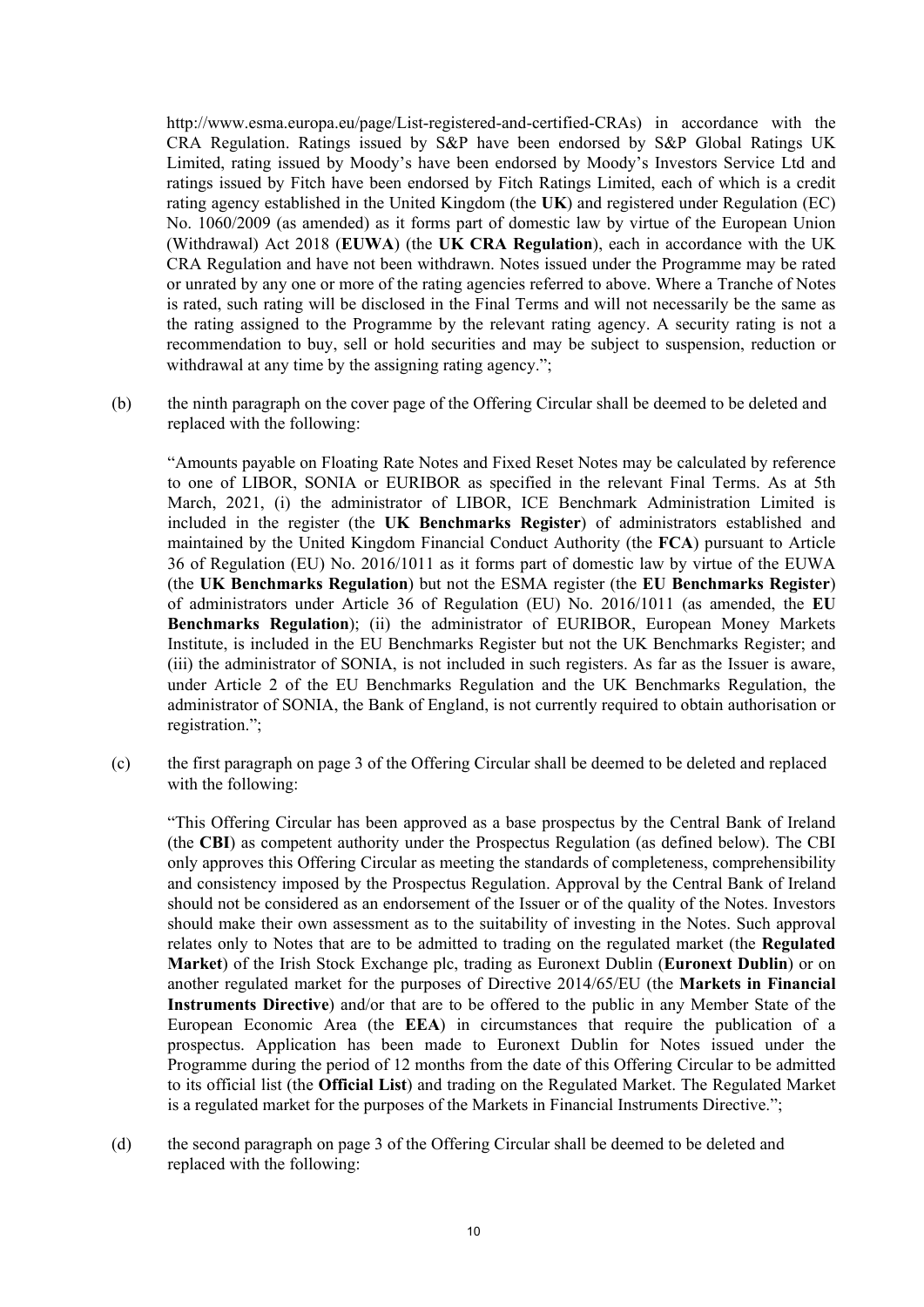http://www.esma.europa.eu/page/List-registered-and-certified-CRAs) in accordance with the CRA Regulation. Ratings issued by S&P have been endorsed by S&P Global Ratings UK Limited, rating issued by Moody's have been endorsed by Moody's Investors Service Ltd and ratings issued by Fitch have been endorsed by Fitch Ratings Limited, each of which is a credit rating agency established in the United Kingdom (the **UK**) and registered under Regulation (EC) No. 1060/2009 (as amended) as it forms part of domestic law by virtue of the European Union (Withdrawal) Act 2018 (**EUWA**) (the **UK CRA Regulation**), each in accordance with the UK CRA Regulation and have not been withdrawn. Notes issued under the Programme may be rated or unrated by any one or more of the rating agencies referred to above. Where a Tranche of Notes is rated, such rating will be disclosed in the Final Terms and will not necessarily be the same as the rating assigned to the Programme by the relevant rating agency. A security rating is not a recommendation to buy, sell or hold securities and may be subject to suspension, reduction or withdrawal at any time by the assigning rating agency.";

(b) the ninth paragraph on the cover page of the Offering Circular shall be deemed to be deleted and replaced with the following:

"Amounts payable on Floating Rate Notes and Fixed Reset Notes may be calculated by reference to one of LIBOR, SONIA or EURIBOR as specified in the relevant Final Terms. As at 5th March, 2021, (i) the administrator of LIBOR, ICE Benchmark Administration Limited is included in the register (the **UK Benchmarks Register**) of administrators established and maintained by the United Kingdom Financial Conduct Authority (the **FCA**) pursuant to Article 36 of Regulation (EU) No. 2016/1011 as it forms part of domestic law by virtue of the EUWA (the **UK Benchmarks Regulation**) but not the ESMA register (the **EU Benchmarks Register**) of administrators under Article 36 of Regulation (EU) No. 2016/1011 (as amended, the **EU Benchmarks Regulation**); (ii) the administrator of EURIBOR, European Money Markets Institute, is included in the EU Benchmarks Register but not the UK Benchmarks Register; and (iii) the administrator of SONIA, is not included in such registers. As far as the Issuer is aware, under Article 2 of the EU Benchmarks Regulation and the UK Benchmarks Regulation, the administrator of SONIA, the Bank of England, is not currently required to obtain authorisation or registration.";

(c) the first paragraph on page 3 of the Offering Circular shall be deemed to be deleted and replaced with the following:

"This Offering Circular has been approved as a base prospectus by the Central Bank of Ireland (the **CBI**) as competent authority under the Prospectus Regulation (as defined below). The CBI only approves this Offering Circular as meeting the standards of completeness, comprehensibility and consistency imposed by the Prospectus Regulation. Approval by the Central Bank of Ireland should not be considered as an endorsement of the Issuer or of the quality of the Notes. Investors should make their own assessment as to the suitability of investing in the Notes. Such approval relates only to Notes that are to be admitted to trading on the regulated market (the **Regulated Market**) of the Irish Stock Exchange plc, trading as Euronext Dublin (**Euronext Dublin**) or on another regulated market for the purposes of Directive 2014/65/EU (the **Markets in Financial Instruments Directive**) and/or that are to be offered to the public in any Member State of the European Economic Area (the **EEA**) in circumstances that require the publication of a prospectus. Application has been made to Euronext Dublin for Notes issued under the Programme during the period of 12 months from the date of this Offering Circular to be admitted to its official list (the **Official List**) and trading on the Regulated Market. The Regulated Market is a regulated market for the purposes of the Markets in Financial Instruments Directive.";

(d) the second paragraph on page 3 of the Offering Circular shall be deemed to be deleted and replaced with the following: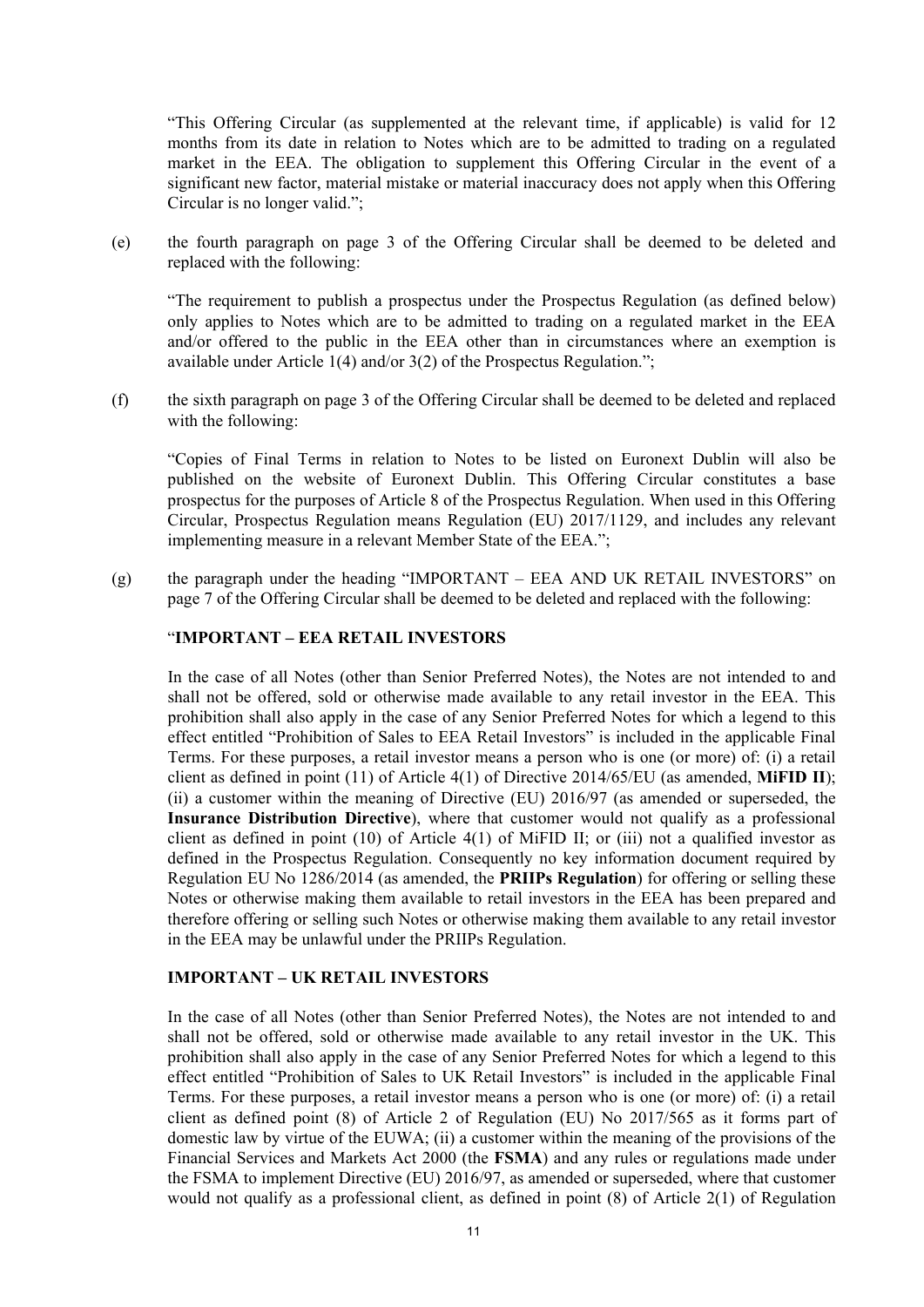"This Offering Circular (as supplemented at the relevant time, if applicable) is valid for 12 months from its date in relation to Notes which are to be admitted to trading on a regulated market in the EEA. The obligation to supplement this Offering Circular in the event of a significant new factor, material mistake or material inaccuracy does not apply when this Offering Circular is no longer valid.";

(e) the fourth paragraph on page 3 of the Offering Circular shall be deemed to be deleted and replaced with the following:

"The requirement to publish a prospectus under the Prospectus Regulation (as defined below) only applies to Notes which are to be admitted to trading on a regulated market in the EEA and/or offered to the public in the EEA other than in circumstances where an exemption is available under Article 1(4) and/or 3(2) of the Prospectus Regulation.";

(f) the sixth paragraph on page 3 of the Offering Circular shall be deemed to be deleted and replaced with the following:

"Copies of Final Terms in relation to Notes to be listed on Euronext Dublin will also be published on the website of Euronext Dublin. This Offering Circular constitutes a base prospectus for the purposes of Article 8 of the Prospectus Regulation. When used in this Offering Circular, Prospectus Regulation means Regulation (EU) 2017/1129, and includes any relevant implementing measure in a relevant Member State of the EEA.";

(g) the paragraph under the heading "IMPORTANT – EEA AND UK RETAIL INVESTORS" on page 7 of the Offering Circular shall be deemed to be deleted and replaced with the following:

### "**IMPORTANT – EEA RETAIL INVESTORS**

In the case of all Notes (other than Senior Preferred Notes), the Notes are not intended to and shall not be offered, sold or otherwise made available to any retail investor in the EEA. This prohibition shall also apply in the case of any Senior Preferred Notes for which a legend to this effect entitled "Prohibition of Sales to EEA Retail Investors" is included in the applicable Final Terms. For these purposes, a retail investor means a person who is one (or more) of: (i) a retail client as defined in point (11) of Article 4(1) of Directive 2014/65/EU (as amended, **MiFID II**); (ii) a customer within the meaning of Directive (EU) 2016/97 (as amended or superseded, the **Insurance Distribution Directive**), where that customer would not qualify as a professional client as defined in point (10) of Article 4(1) of MiFID II; or (iii) not a qualified investor as defined in the Prospectus Regulation. Consequently no key information document required by Regulation EU No 1286/2014 (as amended, the **PRIIPs Regulation**) for offering or selling these Notes or otherwise making them available to retail investors in the EEA has been prepared and therefore offering or selling such Notes or otherwise making them available to any retail investor in the EEA may be unlawful under the PRIIPs Regulation.

### **IMPORTANT – UK RETAIL INVESTORS**

In the case of all Notes (other than Senior Preferred Notes), the Notes are not intended to and shall not be offered, sold or otherwise made available to any retail investor in the UK. This prohibition shall also apply in the case of any Senior Preferred Notes for which a legend to this effect entitled "Prohibition of Sales to UK Retail Investors" is included in the applicable Final Terms. For these purposes, a retail investor means a person who is one (or more) of: (i) a retail client as defined point (8) of Article 2 of Regulation (EU) No 2017/565 as it forms part of domestic law by virtue of the EUWA; (ii) a customer within the meaning of the provisions of the Financial Services and Markets Act 2000 (the **FSMA**) and any rules or regulations made under the FSMA to implement Directive (EU) 2016/97, as amended or superseded, where that customer would not qualify as a professional client, as defined in point  $(8)$  of Article  $2(1)$  of Regulation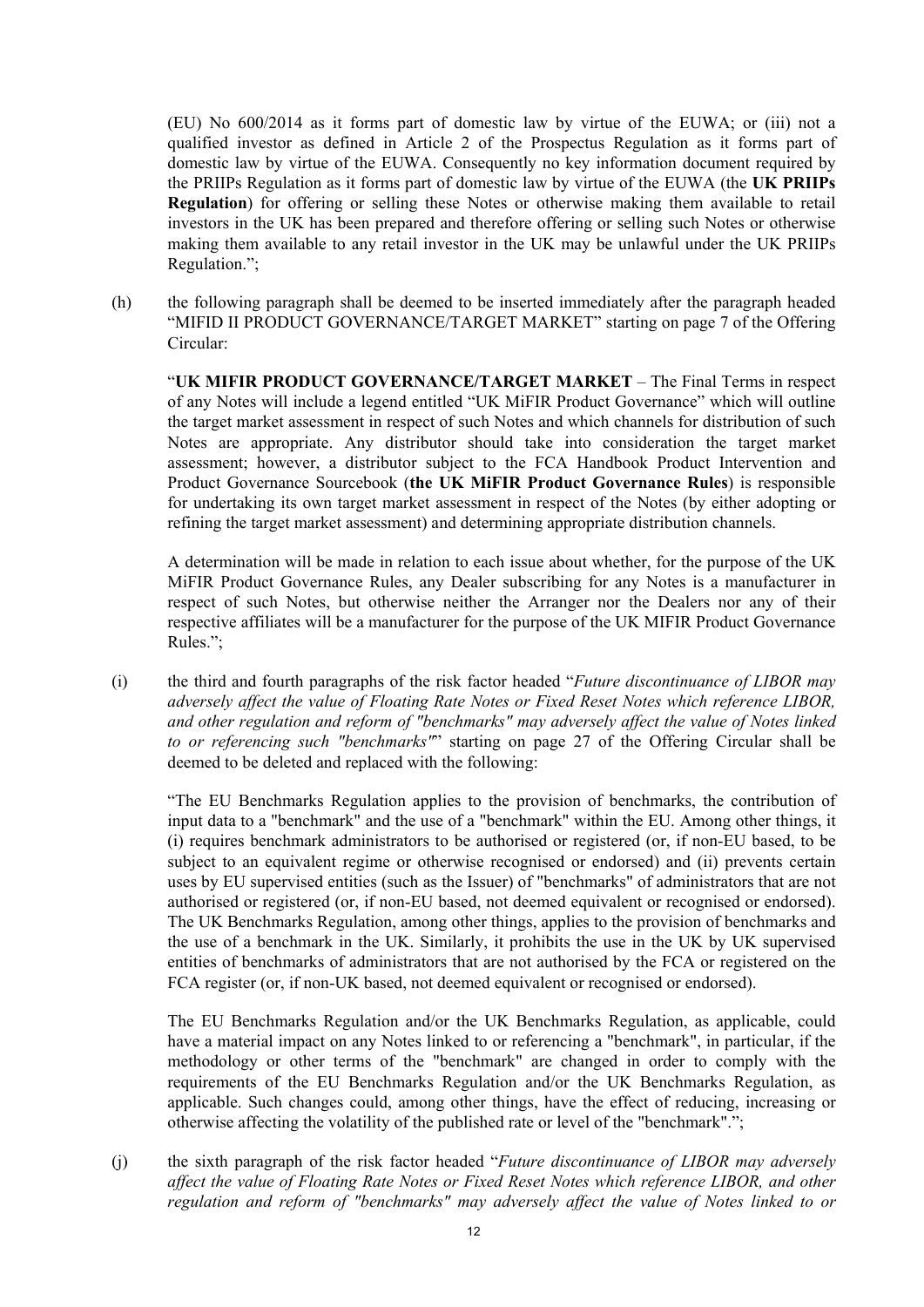(EU) No 600/2014 as it forms part of domestic law by virtue of the EUWA; or (iii) not a qualified investor as defined in Article 2 of the Prospectus Regulation as it forms part of domestic law by virtue of the EUWA. Consequently no key information document required by the PRIIPs Regulation as it forms part of domestic law by virtue of the EUWA (the **UK PRIIPs Regulation**) for offering or selling these Notes or otherwise making them available to retail investors in the UK has been prepared and therefore offering or selling such Notes or otherwise making them available to any retail investor in the UK may be unlawful under the UK PRIIPs Regulation.";

(h) the following paragraph shall be deemed to be inserted immediately after the paragraph headed "MIFID II PRODUCT GOVERNANCE/TARGET MARKET" starting on page 7 of the Offering Circular:

"UK MIFIR PRODUCT GOVERNANCE/TARGET MARKET - The Final Terms in respect of any Notes will include a legend entitled "UK MiFIR Product Governance" which will outline the target market assessment in respect of such Notes and which channels for distribution of such Notes are appropriate. Any distributor should take into consideration the target market assessment; however, a distributor subject to the FCA Handbook Product Intervention and Product Governance Sourcebook (**the UK MiFIR Product Governance Rules**) is responsible for undertaking its own target market assessment in respect of the Notes (by either adopting or refining the target market assessment) and determining appropriate distribution channels.

A determination will be made in relation to each issue about whether, for the purpose of the UK MiFIR Product Governance Rules, any Dealer subscribing for any Notes is a manufacturer in respect of such Notes, but otherwise neither the Arranger nor the Dealers nor any of their respective affiliates will be a manufacturer for the purpose of the UK MIFIR Product Governance Rules.";

(i) the third and fourth paragraphs of the risk factor headed "*Future discontinuance of LIBOR may adversely affect the value of Floating Rate Notes or Fixed Reset Notes which reference LIBOR, and other regulation and reform of "benchmarks" may adversely affect the value of Notes linked to or referencing such "benchmarks"*" starting on page 27 of the Offering Circular shall be deemed to be deleted and replaced with the following:

"The EU Benchmarks Regulation applies to the provision of benchmarks, the contribution of input data to a "benchmark" and the use of a "benchmark" within the EU. Among other things, it (i) requires benchmark administrators to be authorised or registered (or, if non-EU based, to be subject to an equivalent regime or otherwise recognised or endorsed) and (ii) prevents certain uses by EU supervised entities (such as the Issuer) of "benchmarks" of administrators that are not authorised or registered (or, if non-EU based, not deemed equivalent or recognised or endorsed). The UK Benchmarks Regulation, among other things, applies to the provision of benchmarks and the use of a benchmark in the UK. Similarly, it prohibits the use in the UK by UK supervised entities of benchmarks of administrators that are not authorised by the FCA or registered on the FCA register (or, if non-UK based, not deemed equivalent or recognised or endorsed).

The EU Benchmarks Regulation and/or the UK Benchmarks Regulation, as applicable, could have a material impact on any Notes linked to or referencing a "benchmark", in particular, if the methodology or other terms of the "benchmark" are changed in order to comply with the requirements of the EU Benchmarks Regulation and/or the UK Benchmarks Regulation, as applicable. Such changes could, among other things, have the effect of reducing, increasing or otherwise affecting the volatility of the published rate or level of the "benchmark".";

(j) the sixth paragraph of the risk factor headed "*Future discontinuance of LIBOR may adversely affect the value of Floating Rate Notes or Fixed Reset Notes which reference LIBOR, and other regulation and reform of "benchmarks" may adversely affect the value of Notes linked to or*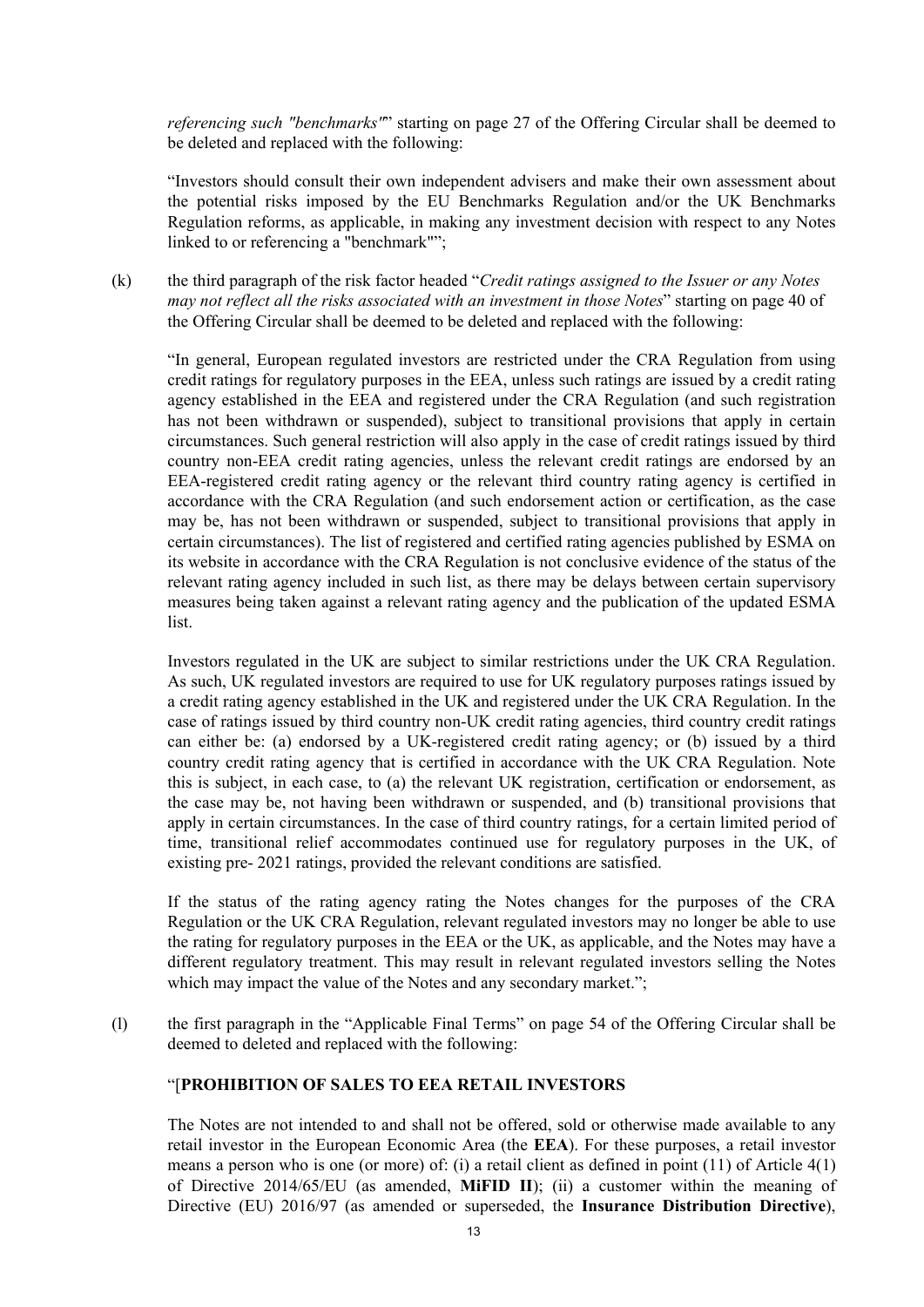*referencing such "benchmarks"*" starting on page 27 of the Offering Circular shall be deemed to be deleted and replaced with the following:

"Investors should consult their own independent advisers and make their own assessment about the potential risks imposed by the EU Benchmarks Regulation and/or the UK Benchmarks Regulation reforms, as applicable, in making any investment decision with respect to any Notes linked to or referencing a "benchmark"";

(k) the third paragraph of the risk factor headed "*Credit ratings assigned to the Issuer or any Notes may not reflect all the risks associated with an investment in those Notes*" starting on page 40 of the Offering Circular shall be deemed to be deleted and replaced with the following:

"In general, European regulated investors are restricted under the CRA Regulation from using credit ratings for regulatory purposes in the EEA, unless such ratings are issued by a credit rating agency established in the EEA and registered under the CRA Regulation (and such registration has not been withdrawn or suspended), subject to transitional provisions that apply in certain circumstances. Such general restriction will also apply in the case of credit ratings issued by third country non-EEA credit rating agencies, unless the relevant credit ratings are endorsed by an EEA-registered credit rating agency or the relevant third country rating agency is certified in accordance with the CRA Regulation (and such endorsement action or certification, as the case may be, has not been withdrawn or suspended, subject to transitional provisions that apply in certain circumstances). The list of registered and certified rating agencies published by ESMA on its website in accordance with the CRA Regulation is not conclusive evidence of the status of the relevant rating agency included in such list, as there may be delays between certain supervisory measures being taken against a relevant rating agency and the publication of the updated ESMA list.

Investors regulated in the UK are subject to similar restrictions under the UK CRA Regulation. As such, UK regulated investors are required to use for UK regulatory purposes ratings issued by a credit rating agency established in the UK and registered under the UK CRA Regulation. In the case of ratings issued by third country non-UK credit rating agencies, third country credit ratings can either be: (a) endorsed by a UK-registered credit rating agency; or (b) issued by a third country credit rating agency that is certified in accordance with the UK CRA Regulation. Note this is subject, in each case, to (a) the relevant UK registration, certification or endorsement, as the case may be, not having been withdrawn or suspended, and (b) transitional provisions that apply in certain circumstances. In the case of third country ratings, for a certain limited period of time, transitional relief accommodates continued use for regulatory purposes in the UK, of existing pre- 2021 ratings, provided the relevant conditions are satisfied.

If the status of the rating agency rating the Notes changes for the purposes of the CRA Regulation or the UK CRA Regulation, relevant regulated investors may no longer be able to use the rating for regulatory purposes in the EEA or the UK, as applicable, and the Notes may have a different regulatory treatment. This may result in relevant regulated investors selling the Notes which may impact the value of the Notes and any secondary market.";

(l) the first paragraph in the "Applicable Final Terms" on page 54 of the Offering Circular shall be deemed to deleted and replaced with the following:

# "[**PROHIBITION OF SALES TO EEA RETAIL INVESTORS**

The Notes are not intended to and shall not be offered, sold or otherwise made available to any retail investor in the European Economic Area (the **EEA**). For these purposes, a retail investor means a person who is one (or more) of: (i) a retail client as defined in point (11) of Article 4(1) of Directive 2014/65/EU (as amended, **MiFID II**); (ii) a customer within the meaning of Directive (EU) 2016/97 (as amended or superseded, the **Insurance Distribution Directive**),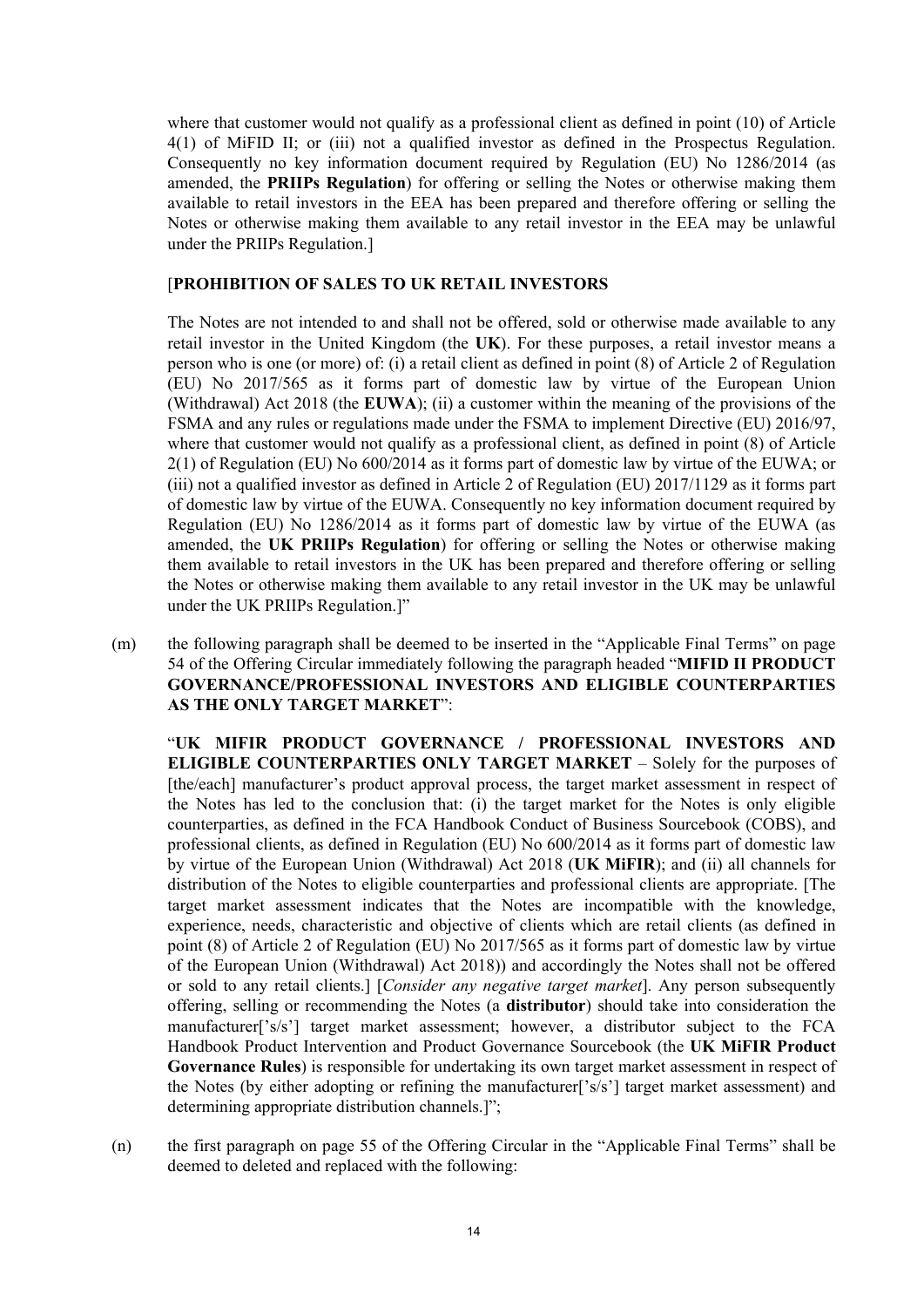where that customer would not qualify as a professional client as defined in point (10) of Article 4(1) of MiFID II; or (iii) not a qualified investor as defined in the Prospectus Regulation. Consequently no key information document required by Regulation (EU) No 1286/2014 (as amended, the **PRIIPs Regulation**) for offering or selling the Notes or otherwise making them available to retail investors in the EEA has been prepared and therefore offering or selling the Notes or otherwise making them available to any retail investor in the EEA may be unlawful under the PRIIPs Regulation.]

### [**PROHIBITION OF SALES TO UK RETAIL INVESTORS**

The Notes are not intended to and shall not be offered, sold or otherwise made available to any retail investor in the United Kingdom (the **UK**). For these purposes, a retail investor means a person who is one (or more) of: (i) a retail client as defined in point (8) of Article 2 of Regulation (EU) No 2017/565 as it forms part of domestic law by virtue of the European Union (Withdrawal) Act 2018 (the **EUWA**); (ii) a customer within the meaning of the provisions of the FSMA and any rules or regulations made under the FSMA to implement Directive (EU) 2016/97, where that customer would not qualify as a professional client, as defined in point (8) of Article 2(1) of Regulation (EU) No 600/2014 as it forms part of domestic law by virtue of the EUWA; or (iii) not a qualified investor as defined in Article 2 of Regulation (EU) 2017/1129 as it forms part of domestic law by virtue of the EUWA. Consequently no key information document required by Regulation (EU) No 1286/2014 as it forms part of domestic law by virtue of the EUWA (as amended, the **UK PRIIPs Regulation**) for offering or selling the Notes or otherwise making them available to retail investors in the UK has been prepared and therefore offering or selling the Notes or otherwise making them available to any retail investor in the UK may be unlawful under the UK PRIIPs Regulation.]"

(m) the following paragraph shall be deemed to be inserted in the "Applicable Final Terms" on page 54 of the Offering Circular immediately following the paragraph headed "**MIFID II PRODUCT GOVERNANCE/PROFESSIONAL INVESTORS AND ELIGIBLE COUNTERPARTIES AS THE ONLY TARGET MARKET**":

"**UK MIFIR PRODUCT GOVERNANCE / PROFESSIONAL INVESTORS AND ELIGIBLE COUNTERPARTIES ONLY TARGET MARKET** – Solely for the purposes of [the/each] manufacturer's product approval process, the target market assessment in respect of the Notes has led to the conclusion that: (i) the target market for the Notes is only eligible counterparties, as defined in the FCA Handbook Conduct of Business Sourcebook (COBS), and professional clients, as defined in Regulation (EU) No 600/2014 as it forms part of domestic law by virtue of the European Union (Withdrawal) Act 2018 (**UK MiFIR**); and (ii) all channels for distribution of the Notes to eligible counterparties and professional clients are appropriate. [The target market assessment indicates that the Notes are incompatible with the knowledge, experience, needs, characteristic and objective of clients which are retail clients (as defined in point (8) of Article 2 of Regulation (EU) No 2017/565 as it forms part of domestic law by virtue of the European Union (Withdrawal) Act 2018)) and accordingly the Notes shall not be offered or sold to any retail clients.] [*Consider any negative target market*]. Any person subsequently offering, selling or recommending the Notes (a **distributor**) should take into consideration the manufacturer['s/s'] target market assessment; however, a distributor subject to the FCA Handbook Product Intervention and Product Governance Sourcebook (the **UK MiFIR Product Governance Rules**) is responsible for undertaking its own target market assessment in respect of the Notes (by either adopting or refining the manufacturer['s/s'] target market assessment) and determining appropriate distribution channels.]";

(n) the first paragraph on page 55 of the Offering Circular in the "Applicable Final Terms" shall be deemed to deleted and replaced with the following: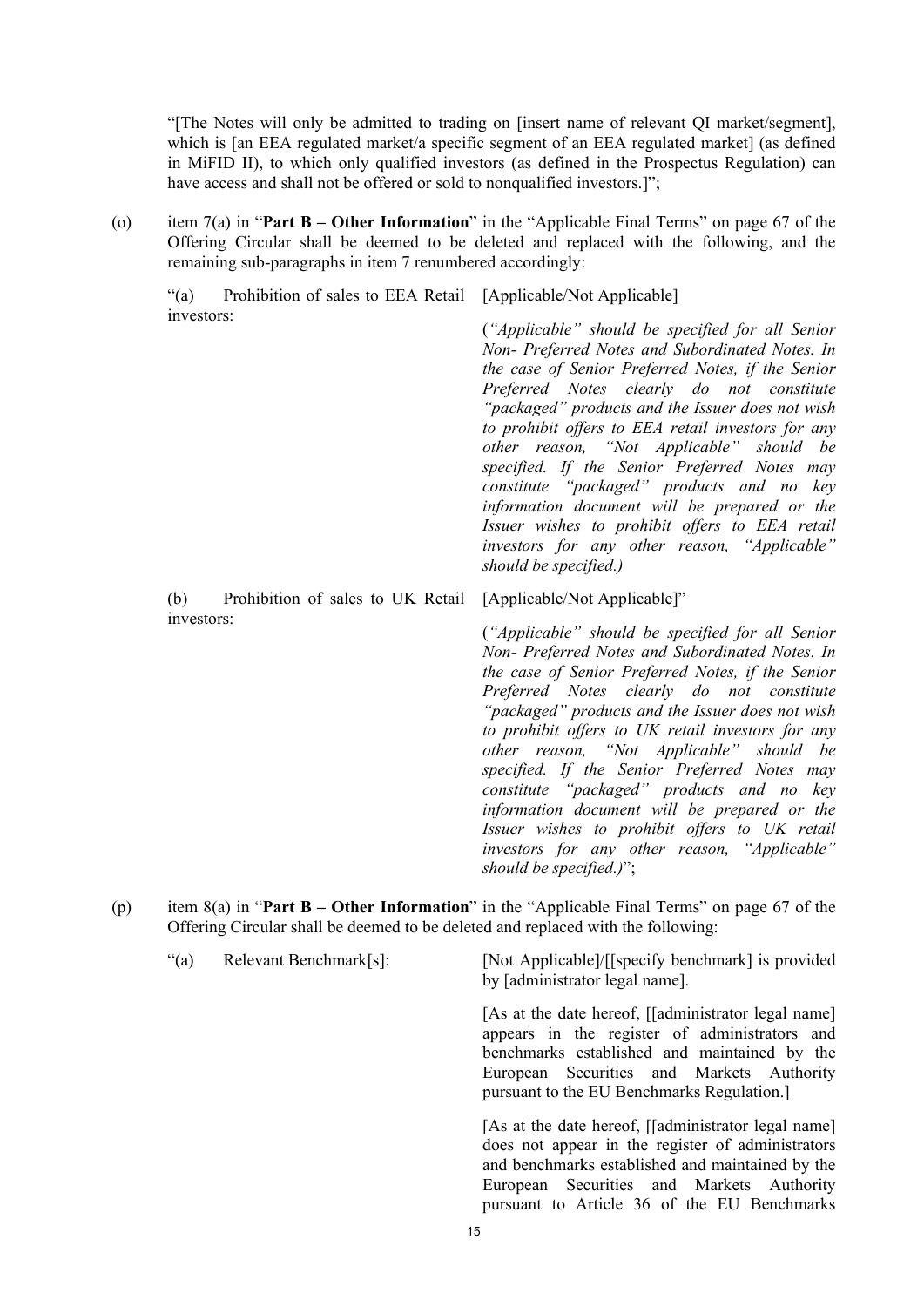"[The Notes will only be admitted to trading on [insert name of relevant QI market/segment], which is [an EEA regulated market/a specific segment of an EEA regulated market] (as defined in MiFID II), to which only qualified investors (as defined in the Prospectus Regulation) can have access and shall not be offered or sold to nonqualified investors.]";

(o) item 7(a) in "**Part B – Other Information**" in the "Applicable Final Terms" on page 67 of the Offering Circular shall be deemed to be deleted and replaced with the following, and the remaining sub-paragraphs in item 7 renumbered accordingly:

"(a) Prohibition of sales to EEA Retail [Applicable/Not Applicable] investors: (*"Applicable" should be specified for all Senior Non- Preferred Notes and Subordinated Notes. In the case of Senior Preferred Notes, if the Senior* 

*should be specified.)*

(b) Prohibition of sales to UK Retail investors:

[Applicable/Not Applicable]" (*"Applicable" should be specified for all Senior Non- Preferred Notes and Subordinated Notes. In the case of Senior Preferred Notes, if the Senior Preferred Notes clearly do not constitute "packaged" products and the Issuer does not wish to prohibit offers to UK retail investors for any other reason, "Not Applicable" should be specified. If the Senior Preferred Notes may constitute "packaged" products and no key information document will be prepared or the Issuer wishes to prohibit offers to UK retail investors for any other reason, "Applicable" should be specified.)*";

*Preferred Notes clearly do not constitute "packaged" products and the Issuer does not wish to prohibit offers to EEA retail investors for any other reason, "Not Applicable" should be specified. If the Senior Preferred Notes may constitute "packaged" products and no key information document will be prepared or the Issuer wishes to prohibit offers to EEA retail investors for any other reason, "Applicable"* 

- (p) item 8(a) in "**Part B – Other Information**" in the "Applicable Final Terms" on page 67 of the Offering Circular shall be deemed to be deleted and replaced with the following:
	- "(a) Relevant Benchmark[s]: [Not Applicable]/[[specify benchmark] is provided by [administrator legal name]. [As at the date hereof, [[administrator legal name] appears in the register of administrators and benchmarks established and maintained by the European Securities and Markets Authority pursuant to the EU Benchmarks Regulation.] [As at the date hereof, [[administrator legal name] does not appear in the register of administrators and benchmarks established and maintained by the European Securities and Markets Authority pursuant to Article 36 of the EU Benchmarks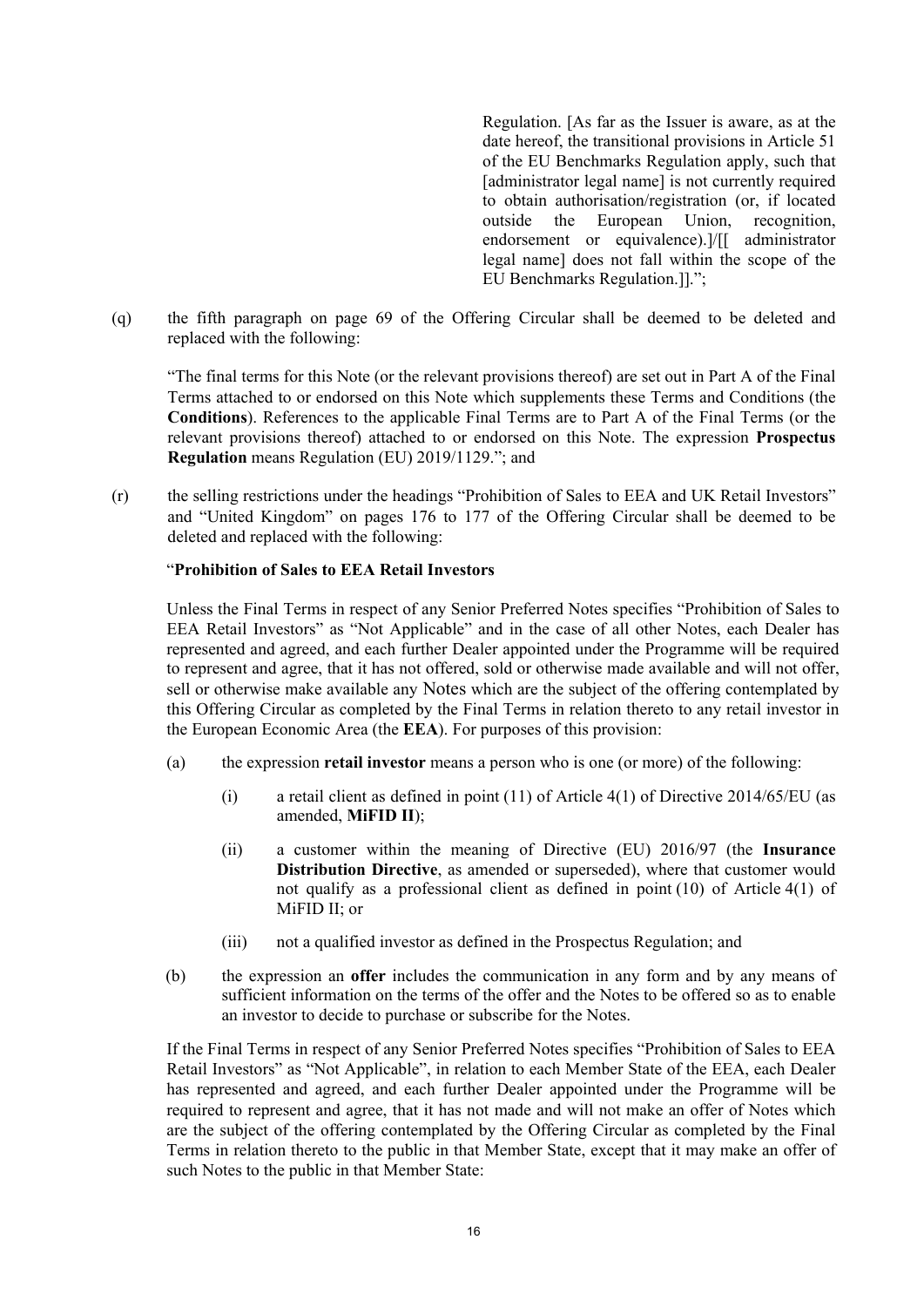Regulation. [As far as the Issuer is aware, as at the date hereof, the transitional provisions in Article 51 of the EU Benchmarks Regulation apply, such that [administrator legal name] is not currently required to obtain authorisation/registration (or, if located outside the European Union, recognition, endorsement or equivalence).]/[[ administrator legal name] does not fall within the scope of the EU Benchmarks Regulation.]].";

(q) the fifth paragraph on page 69 of the Offering Circular shall be deemed to be deleted and replaced with the following:

"The final terms for this Note (or the relevant provisions thereof) are set out in Part A of the Final Terms attached to or endorsed on this Note which supplements these Terms and Conditions (the **Conditions**). References to the applicable Final Terms are to Part A of the Final Terms (or the relevant provisions thereof) attached to or endorsed on this Note. The expression **Prospectus Regulation** means Regulation (EU) 2019/1129."; and

(r) the selling restrictions under the headings "Prohibition of Sales to EEA and UK Retail Investors" and "United Kingdom" on pages 176 to 177 of the Offering Circular shall be deemed to be deleted and replaced with the following:

# "**Prohibition of Sales to EEA Retail Investors**

Unless the Final Terms in respect of any Senior Preferred Notes specifies "Prohibition of Sales to EEA Retail Investors" as "Not Applicable" and in the case of all other Notes, each Dealer has represented and agreed, and each further Dealer appointed under the Programme will be required to represent and agree, that it has not offered, sold or otherwise made available and will not offer, sell or otherwise make available any Notes which are the subject of the offering contemplated by this Offering Circular as completed by the Final Terms in relation thereto to any retail investor in the European Economic Area (the **EEA**). For purposes of this provision:

- (a) the expression **retail investor** means a person who is one (or more) of the following:
	- (i) a retail client as defined in point (11) of Article 4(1) of Directive 2014/65/EU (as amended, **MiFID II**);
	- (ii) a customer within the meaning of Directive (EU) 2016/97 (the **Insurance Distribution Directive**, as amended or superseded), where that customer would not qualify as a professional client as defined in point (10) of Article 4(1) of MiFID II; or
	- (iii) not a qualified investor as defined in the Prospectus Regulation; and
- (b) the expression an **offer** includes the communication in any form and by any means of sufficient information on the terms of the offer and the Notes to be offered so as to enable an investor to decide to purchase or subscribe for the Notes.

If the Final Terms in respect of any Senior Preferred Notes specifies "Prohibition of Sales to EEA Retail Investors" as "Not Applicable", in relation to each Member State of the EEA, each Dealer has represented and agreed, and each further Dealer appointed under the Programme will be required to represent and agree, that it has not made and will not make an offer of Notes which are the subject of the offering contemplated by the Offering Circular as completed by the Final Terms in relation thereto to the public in that Member State, except that it may make an offer of such Notes to the public in that Member State: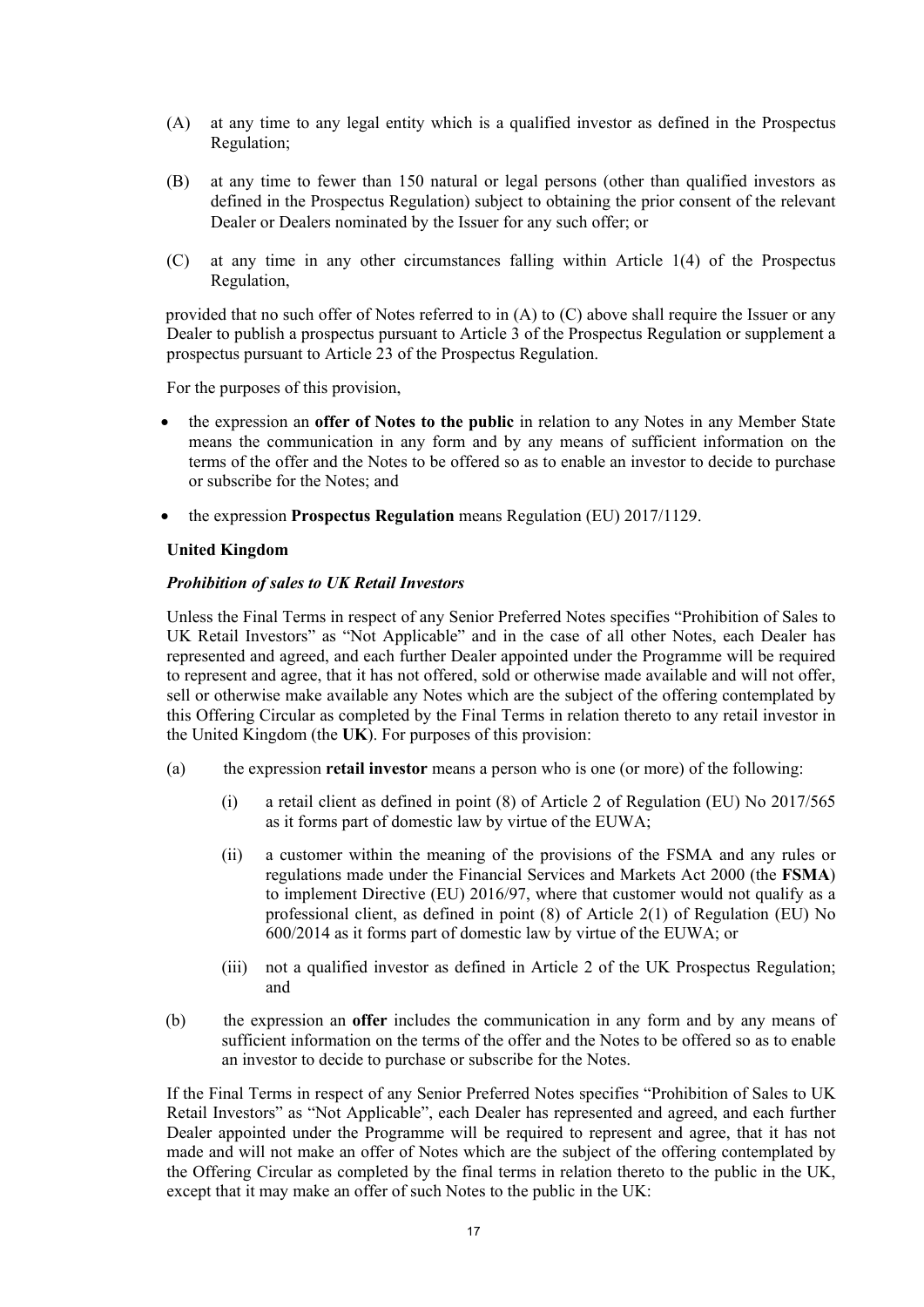- (A) at any time to any legal entity which is a qualified investor as defined in the Prospectus Regulation;
- (B) at any time to fewer than 150 natural or legal persons (other than qualified investors as defined in the Prospectus Regulation) subject to obtaining the prior consent of the relevant Dealer or Dealers nominated by the Issuer for any such offer; or
- (C) at any time in any other circumstances falling within Article 1(4) of the Prospectus Regulation,

provided that no such offer of Notes referred to in (A) to (C) above shall require the Issuer or any Dealer to publish a prospectus pursuant to Article 3 of the Prospectus Regulation or supplement a prospectus pursuant to Article 23 of the Prospectus Regulation.

For the purposes of this provision,

- the expression an **offer of Notes to the public** in relation to any Notes in any Member State means the communication in any form and by any means of sufficient information on the terms of the offer and the Notes to be offered so as to enable an investor to decide to purchase or subscribe for the Notes; and
- the expression **Prospectus Regulation** means Regulation (EU) 2017/1129.

## **United Kingdom**

### *Prohibition of sales to UK Retail Investors*

Unless the Final Terms in respect of any Senior Preferred Notes specifies "Prohibition of Sales to UK Retail Investors" as "Not Applicable" and in the case of all other Notes, each Dealer has represented and agreed, and each further Dealer appointed under the Programme will be required to represent and agree, that it has not offered, sold or otherwise made available and will not offer, sell or otherwise make available any Notes which are the subject of the offering contemplated by this Offering Circular as completed by the Final Terms in relation thereto to any retail investor in the United Kingdom (the **UK**). For purposes of this provision:

- (a) the expression **retail investor** means a person who is one (or more) of the following:
	- (i) a retail client as defined in point (8) of Article 2 of Regulation (EU) No 2017/565 as it forms part of domestic law by virtue of the EUWA;
	- (ii) a customer within the meaning of the provisions of the FSMA and any rules or regulations made under the Financial Services and Markets Act 2000 (the **FSMA**) to implement Directive (EU) 2016/97, where that customer would not qualify as a professional client, as defined in point (8) of Article 2(1) of Regulation (EU) No 600/2014 as it forms part of domestic law by virtue of the EUWA; or
	- (iii) not a qualified investor as defined in Article 2 of the UK Prospectus Regulation; and
- (b) the expression an **offer** includes the communication in any form and by any means of sufficient information on the terms of the offer and the Notes to be offered so as to enable an investor to decide to purchase or subscribe for the Notes.

If the Final Terms in respect of any Senior Preferred Notes specifies "Prohibition of Sales to UK Retail Investors" as "Not Applicable", each Dealer has represented and agreed, and each further Dealer appointed under the Programme will be required to represent and agree, that it has not made and will not make an offer of Notes which are the subject of the offering contemplated by the Offering Circular as completed by the final terms in relation thereto to the public in the UK, except that it may make an offer of such Notes to the public in the UK: